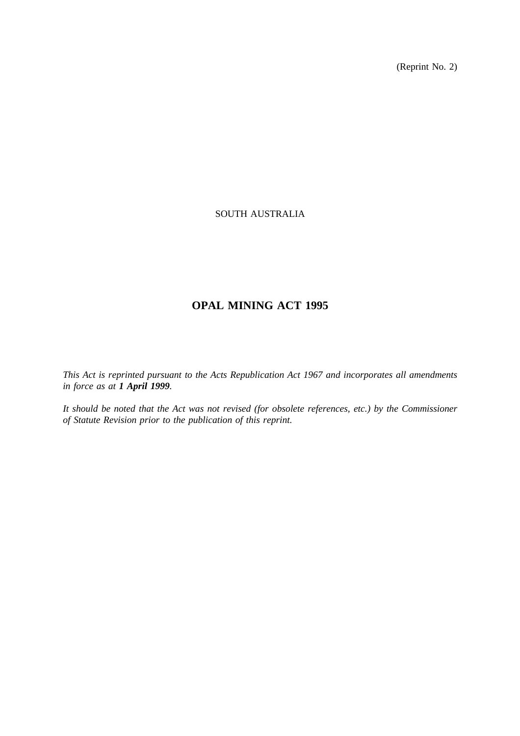(Reprint No. 2)

# SOUTH AUSTRALIA

# **OPAL MINING ACT 1995**

*This Act is reprinted pursuant to the Acts Republication Act 1967 and incorporates all amendments in force as at 1 April 1999.*

*It should be noted that the Act was not revised (for obsolete references, etc.) by the Commissioner of Statute Revision prior to the publication of this reprint.*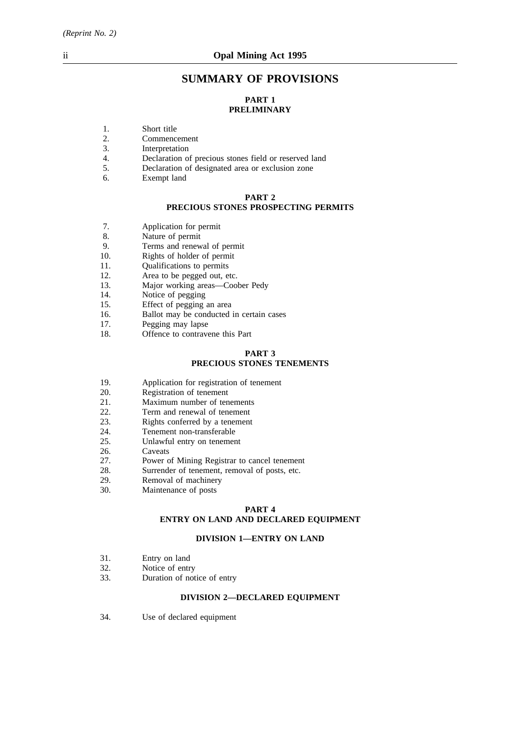# **SUMMARY OF PROVISIONS**

# **PART 1 PRELIMINARY**

- 1. Short title<br>2. Commence
- 2. Commencement<br>3. Interpretation
- 3. Interpretation<br>4. Declaration of
- 4. Declaration of precious stones field or reserved land<br>5. Declaration of designated area or exclusion zone
- 5. Declaration of designated area or exclusion zone
- 6. Exempt land

#### **PART 2**

# **PRECIOUS STONES PROSPECTING PERMITS**

- 7. Application for permit<br>8 Nature of permit
- Nature of permit
- 9. Terms and renewal of permit
- 10. Rights of holder of permit
- 11. Qualifications to permits
- 12. Area to be pegged out, etc.
- 13. Major working areas—Coober Pedy<br>14. Notice of pegging
- 14. Notice of pegging<br>15. Effect of pegging
- 15. Effect of pegging an area<br>16. Ballot may be conducted i
- 16. Ballot may be conducted in certain cases 17.
- Pegging may lapse
- 18. Offence to contravene this Part

# **PART 3 PRECIOUS STONES TENEMENTS**

- 19. Application for registration of tenement
- 20. Registration of tenement<br>21. Maximum number of ten
- 21. Maximum number of tenements<br>22. Term and renewal of tenement
- Term and renewal of tenement
- 23. Rights conferred by a tenement
- 24. Tenement non-transferable
- 25. Unlawful entry on tenement
- 26. Caveats
- 27. Power of Mining Registrar to cancel tenement
- 28. Surrender of tenement, removal of posts, etc.
- 29. Removal of machinery
- 30. Maintenance of posts

## **PART 4 ENTRY ON LAND AND DECLARED EQUIPMENT**

# **DIVISION 1—ENTRY ON LAND**

- 31. Entry on land<br>32. Notice of entr
- 32. Notice of entry<br>33. Duration of not
- Duration of notice of entry

# **DIVISION 2—DECLARED EQUIPMENT**

34. Use of declared equipment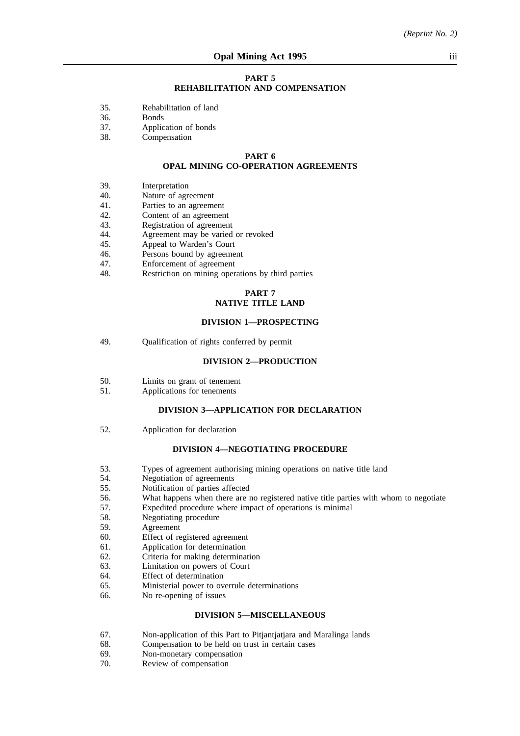#### **PART 5 REHABILITATION AND COMPENSATION**

- 35. Rehabilitation of land
- 36. Bonds
- 37. Application of bonds
- 38. Compensation

#### **PART 6 OPAL MINING CO-OPERATION AGREEMENTS**

- 39. Interpretation
- 40. Nature of agreement
- 41. Parties to an agreement
- 42. Content of an agreement<br>43. Registration of agreemen
- 43. Registration of agreement<br>44. Agreement may be varied
- 44. Agreement may be varied or revoked<br>45. Appeal to Warden's Court
- 45. Appeal to Warden's Court<br>46. Persons bound by agreeme
- Persons bound by agreement
- 47. Enforcement of agreement
- 48. Restriction on mining operations by third parties

# **PART 7 NATIVE TITLE LAND**

#### **DIVISION 1—PROSPECTING**

49. Qualification of rights conferred by permit

#### **DIVISION 2—PRODUCTION**

- 50. Limits on grant of tenement
- 51. Applications for tenements

### **DIVISION 3—APPLICATION FOR DECLARATION**

52. Application for declaration

#### **DIVISION 4—NEGOTIATING PROCEDURE**

- 53. Types of agreement authorising mining operations on native title land
- 54. Negotiation of agreements<br>55. Notification of parties affe
- 55. Notification of parties affected
- 56. What happens when there are no registered native title parties with whom to negotiate
- 57. Expedited procedure where impact of operations is minimal
- 58. Negotiating procedure
- 59. Agreement
- 60. Effect of registered agreement
- 61. Application for determination
- 62. Criteria for making determination
- 63. Limitation on powers of Court
- 64. Effect of determination
- 65. Ministerial power to overrule determinations
- 66. No re-opening of issues

#### **DIVISION 5—MISCELLANEOUS**

- 67. Non-application of this Part to Pitjantjatjara and Maralinga lands
- 68. Compensation to be held on trust in certain cases 69. Non-monetary compensation
- 69. Non-monetary compensation<br>70. Review of compensation
- Review of compensation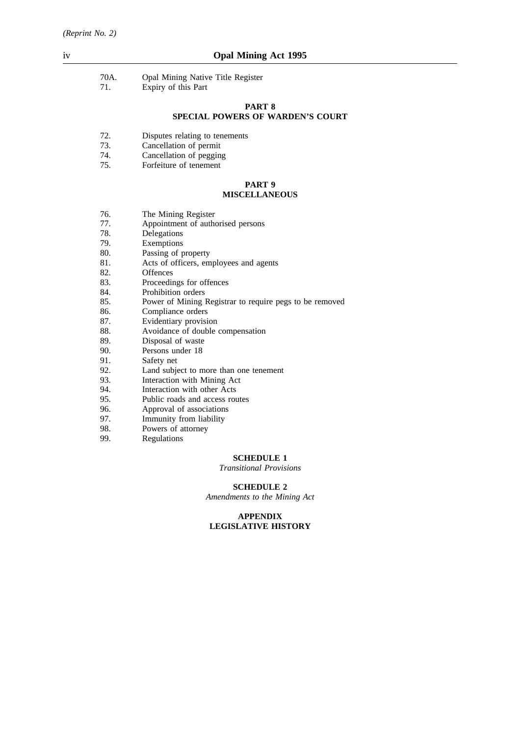- 70A. Opal Mining Native Title Register<br>71. Expiry of this Part
- Expiry of this Part

# **PART 8 SPECIAL POWERS OF WARDEN'S COURT**

- 72. Disputes relating to tenements
- 73. Cancellation of permit
- 74. Cancellation of pegging
- 75. Forfeiture of tenement

#### **PART 9 MISCELLANEOUS**

- 76. The Mining Register
- 77. Appointment of authorised persons
- 78. Delegations<br>79. Exemptions
- 79. Exemptions<br>80. Passing of r
- 80. Passing of property<br>81. Acts of officers. em
- 81. Acts of officers, employees and agents<br>82. Offences
- 82. Offences<br>83. Proceedin
- 83. Proceedings for offences<br>84. Prohibition orders
- Prohibition orders
- 85. Power of Mining Registrar to require pegs to be removed
- 86. Compliance orders
- 87. Evidentiary provision
- 88. Avoidance of double compensation<br>89. Disposal of waste
- 89. Disposal of waste<br>90. Persons under 18
- 90. Persons under 18<br>91. Safety net
- 91. Safety net<br>92. Land subject
- Land subject to more than one tenement
- 93. Interaction with Mining Act
- 94. Interaction with other Acts
- 95. Public roads and access routes
- 96. Approval of associations
- 97. Immunity from liability<br>98. Powers of attorney
- 98. Powers of attorney<br>99. Regulations
	- **Regulations**

# **SCHEDULE 1**

*Transitional Provisions*

# **SCHEDULE 2**

*Amendments to the Mining Act*

#### **APPENDIX LEGISLATIVE HISTORY**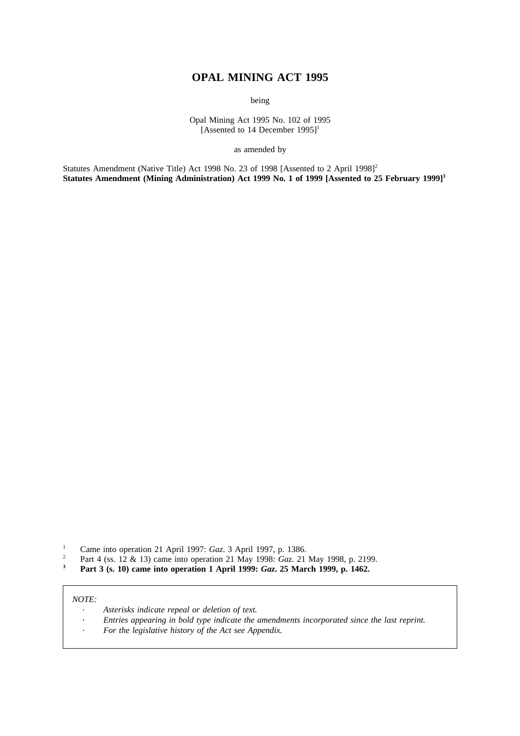# **OPAL MINING ACT 1995**

being

Opal Mining Act 1995 No. 102 of 1995 [Assented to 14 December 1995]<sup>1</sup>

as amended by

Statutes Amendment (Native Title) Act 1998 No. 23 of 1998 [Assented to 2 April 1998]<sup>2</sup> Statutes Amendment (Mining Administration) Act 1999 No. 1 of 1999 [Assented to 25 February 1999]<sup>3</sup>

- <sup>1</sup> Came into operation 21 April 1997: *Gaz*. 3 April 1997, p. 1386.<br><sup>2</sup> Part 4 (ss. 12 & 13) came into operation 21 May 1998: *Gaz*. 21
- <sup>2</sup> Part 4 (ss. 12 & 13) came into operation 21 May 1998: *Gaz.* 21 May 1998, p. 2199.<br>**Part 3 (s. 10) came into operation 1 April 1999**: *Gaz*. **25 March 1999** n. 1462
- **<sup>3</sup> Part 3 (s. 10) came into operation 1 April 1999:** *Gaz***. 25 March 1999, p. 1462.**

### *NOTE:*

- *Asterisks indicate repeal or deletion of text.*  $\lambda$
- *Entries appearing in bold type indicate the amendments incorporated since the last reprint.*  $\ddot{\phantom{a}}$
- *For the legislative history of the Act see Appendix.*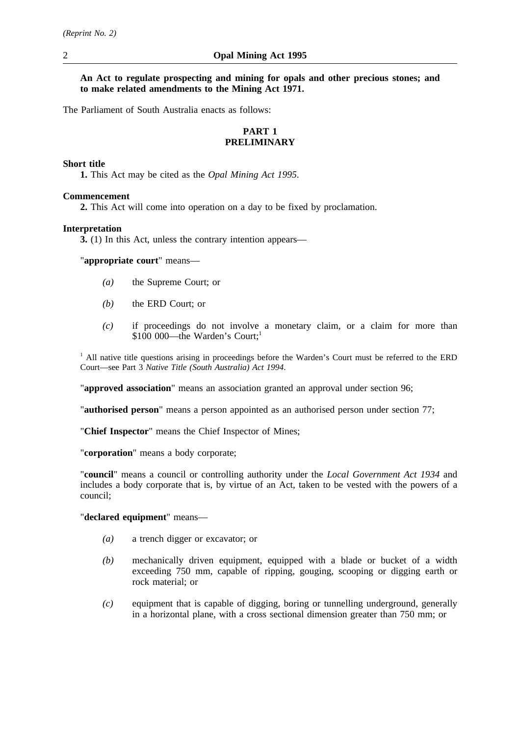**An Act to regulate prospecting and mining for opals and other precious stones; and to make related amendments to the Mining Act 1971.**

The Parliament of South Australia enacts as follows:

# **PART 1 PRELIMINARY**

# **Short title**

**1.** This Act may be cited as the *Opal Mining Act 1995*.

# **Commencement**

**2.** This Act will come into operation on a day to be fixed by proclamation.

# **Interpretation**

**3.** (1) In this Act, unless the contrary intention appears—

"**appropriate court**" means—

- *(a)* the Supreme Court; or
- *(b)* the ERD Court; or
- *(c)* if proceedings do not involve a monetary claim, or a claim for more than \$100 000—the Warden's Court;<sup>1</sup>

<sup>1</sup> All native title questions arising in proceedings before the Warden's Court must be referred to the ERD Court—see Part 3 *Native Title (South Australia) Act 1994*.

"**approved association**" means an association granted an approval under section 96;

"**authorised person**" means a person appointed as an authorised person under section 77;

"**Chief Inspector**" means the Chief Inspector of Mines;

"**corporation**" means a body corporate;

"**council**" means a council or controlling authority under the *Local Government Act 1934* and includes a body corporate that is, by virtue of an Act, taken to be vested with the powers of a council;

# "**declared equipment**" means—

- *(a)* a trench digger or excavator; or
- *(b)* mechanically driven equipment, equipped with a blade or bucket of a width exceeding 750 mm, capable of ripping, gouging, scooping or digging earth or rock material; or
- *(c)* equipment that is capable of digging, boring or tunnelling underground, generally in a horizontal plane, with a cross sectional dimension greater than 750 mm; or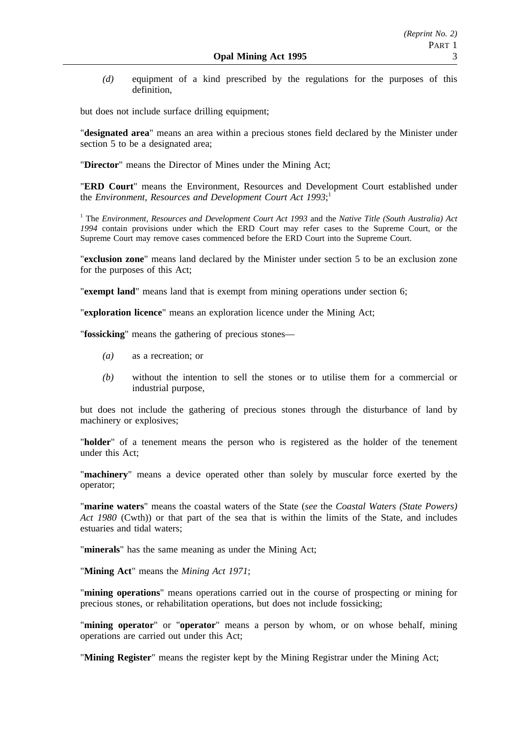*(d)* equipment of a kind prescribed by the regulations for the purposes of this definition,

but does not include surface drilling equipment;

"**designated area**" means an area within a precious stones field declared by the Minister under section 5 to be a designated area;

"**Director**" means the Director of Mines under the Mining Act;

"**ERD Court**" means the Environment, Resources and Development Court established under the *Environment, Resources and Development Court Act 1993*; 1

<sup>1</sup> The *Environment, Resources and Development Court Act 1993* and the *Native Title (South Australia) Act 1994* contain provisions under which the ERD Court may refer cases to the Supreme Court, or the Supreme Court may remove cases commenced before the ERD Court into the Supreme Court.

"**exclusion zone**" means land declared by the Minister under section 5 to be an exclusion zone for the purposes of this Act;

"**exempt land**" means land that is exempt from mining operations under section 6;

"**exploration licence**" means an exploration licence under the Mining Act;

"**fossicking**" means the gathering of precious stones—

- *(a)* as a recreation; or
- *(b)* without the intention to sell the stones or to utilise them for a commercial or industrial purpose,

but does not include the gathering of precious stones through the disturbance of land by machinery or explosives;

"**holder**" of a tenement means the person who is registered as the holder of the tenement under this Act;

"**machinery**" means a device operated other than solely by muscular force exerted by the operator;

"**marine waters**" means the coastal waters of the State (*see* the *Coastal Waters (State Powers) Act 1980* (Cwth)) or that part of the sea that is within the limits of the State, and includes estuaries and tidal waters;

"**minerals**" has the same meaning as under the Mining Act;

"**Mining Act**" means the *Mining Act 1971*;

"**mining operations**" means operations carried out in the course of prospecting or mining for precious stones, or rehabilitation operations, but does not include fossicking;

"**mining operator**" or "**operator**" means a person by whom, or on whose behalf, mining operations are carried out under this Act;

"**Mining Register**" means the register kept by the Mining Registrar under the Mining Act;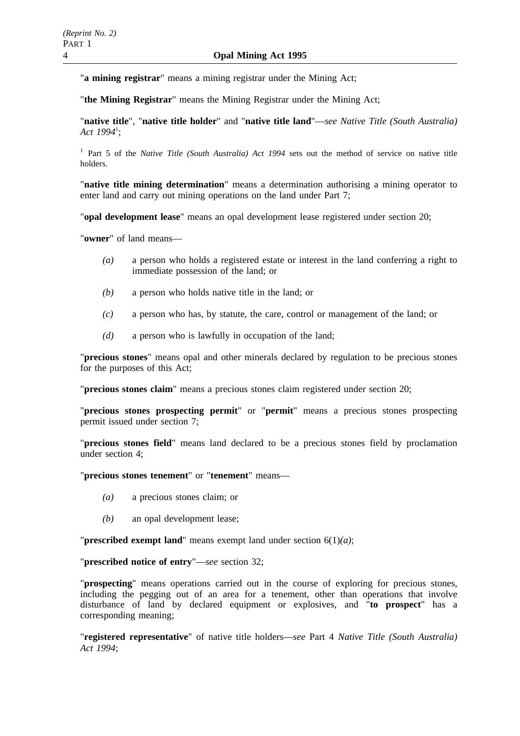"**a mining registrar**" means a mining registrar under the Mining Act;

"**the Mining Registrar**" means the Mining Registrar under the Mining Act;

"**native title**", "**native title holder**" and "**native title land**"—*see Native Title (South Australia) Act 1994*<sup>1</sup> ;

<sup>1</sup> Part 5 of the *Native Title (South Australia) Act 1994* sets out the method of service on native title holders.

"**native title mining determination**" means a determination authorising a mining operator to enter land and carry out mining operations on the land under Part 7;

"**opal development lease**" means an opal development lease registered under section 20;

"**owner**" of land means—

- *(a)* a person who holds a registered estate or interest in the land conferring a right to immediate possession of the land; or
- *(b)* a person who holds native title in the land; or
- *(c)* a person who has, by statute, the care, control or management of the land; or
- *(d)* a person who is lawfully in occupation of the land;

"**precious stones**" means opal and other minerals declared by regulation to be precious stones for the purposes of this Act;

"**precious stones claim**" means a precious stones claim registered under section 20;

"**precious stones prospecting permit**" or "**permit**" means a precious stones prospecting permit issued under section 7;

"**precious stones field**" means land declared to be a precious stones field by proclamation under section 4;

"**precious stones tenement**" or "**tenement**" means—

- *(a)* a precious stones claim; or
- *(b)* an opal development lease;

"**prescribed exempt land**" means exempt land under section 6(1)*(a)*;

"**prescribed notice of entry**"—*see* section 32;

"**prospecting**" means operations carried out in the course of exploring for precious stones, including the pegging out of an area for a tenement, other than operations that involve disturbance of land by declared equipment or explosives, and "**to prospect**" has a corresponding meaning;

"**registered representative**" of native title holders—*see* Part 4 *Native Title (South Australia) Act 1994*;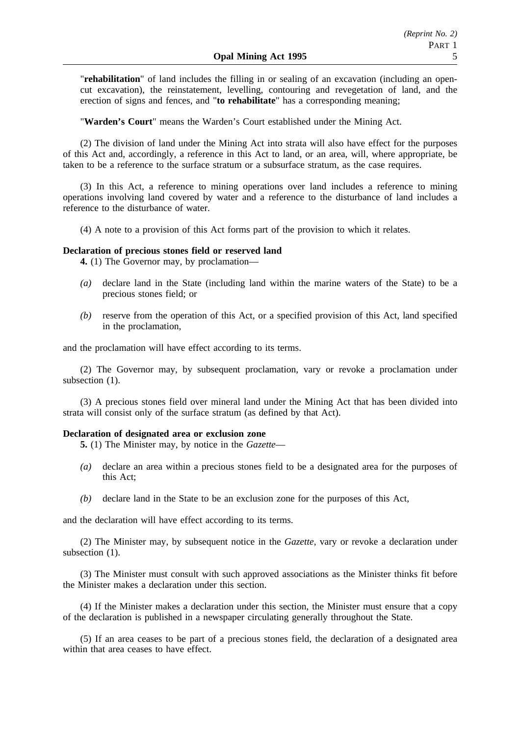"**rehabilitation**" of land includes the filling in or sealing of an excavation (including an opencut excavation), the reinstatement, levelling, contouring and revegetation of land, and the erection of signs and fences, and "**to rehabilitate**" has a corresponding meaning;

"**Warden's Court**" means the Warden's Court established under the Mining Act.

(2) The division of land under the Mining Act into strata will also have effect for the purposes of this Act and, accordingly, a reference in this Act to land, or an area, will, where appropriate, be taken to be a reference to the surface stratum or a subsurface stratum, as the case requires.

(3) In this Act, a reference to mining operations over land includes a reference to mining operations involving land covered by water and a reference to the disturbance of land includes a reference to the disturbance of water.

(4) A note to a provision of this Act forms part of the provision to which it relates.

#### **Declaration of precious stones field or reserved land**

**4.** (1) The Governor may, by proclamation—

- *(a)* declare land in the State (including land within the marine waters of the State) to be a precious stones field; or
- *(b)* reserve from the operation of this Act, or a specified provision of this Act, land specified in the proclamation,

and the proclamation will have effect according to its terms.

(2) The Governor may, by subsequent proclamation, vary or revoke a proclamation under subsection  $(1)$ .

(3) A precious stones field over mineral land under the Mining Act that has been divided into strata will consist only of the surface stratum (as defined by that Act).

#### **Declaration of designated area or exclusion zone**

**5.** (1) The Minister may, by notice in the *Gazette*—

- *(a)* declare an area within a precious stones field to be a designated area for the purposes of this Act;
- *(b)* declare land in the State to be an exclusion zone for the purposes of this Act,

and the declaration will have effect according to its terms.

(2) The Minister may, by subsequent notice in the *Gazette*, vary or revoke a declaration under subsection  $(1)$ .

(3) The Minister must consult with such approved associations as the Minister thinks fit before the Minister makes a declaration under this section.

(4) If the Minister makes a declaration under this section, the Minister must ensure that a copy of the declaration is published in a newspaper circulating generally throughout the State.

(5) If an area ceases to be part of a precious stones field, the declaration of a designated area within that area ceases to have effect.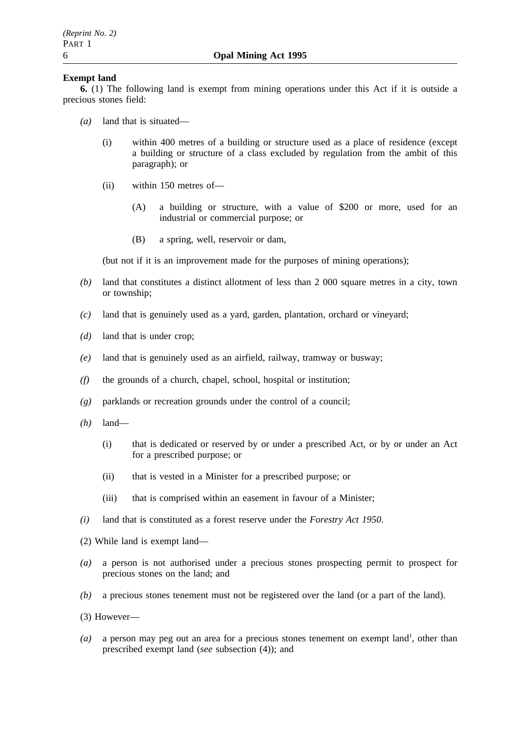# **Exempt land**

**6.** (1) The following land is exempt from mining operations under this Act if it is outside a precious stones field:

- *(a)* land that is situated—
	- (i) within 400 metres of a building or structure used as a place of residence (except a building or structure of a class excluded by regulation from the ambit of this paragraph); or
	- (ii) within 150 metres of—
		- (A) a building or structure, with a value of \$200 or more, used for an industrial or commercial purpose; or
		- (B) a spring, well, reservoir or dam,

(but not if it is an improvement made for the purposes of mining operations);

- *(b)* land that constitutes a distinct allotment of less than 2 000 square metres in a city, town or township;
- *(c)* land that is genuinely used as a yard, garden, plantation, orchard or vineyard;
- *(d)* land that is under crop;
- *(e)* land that is genuinely used as an airfield, railway, tramway or busway;
- *(f)* the grounds of a church, chapel, school, hospital or institution;
- *(g)* parklands or recreation grounds under the control of a council;
- *(h)* land—
	- (i) that is dedicated or reserved by or under a prescribed Act, or by or under an Act for a prescribed purpose; or
	- (ii) that is vested in a Minister for a prescribed purpose; or
	- (iii) that is comprised within an easement in favour of a Minister;
- *(i)* land that is constituted as a forest reserve under the *Forestry Act 1950*.
- (2) While land is exempt land—
- *(a)* a person is not authorised under a precious stones prospecting permit to prospect for precious stones on the land; and
- *(b)* a precious stones tenement must not be registered over the land (or a part of the land).
- (3) However—
- $(a)$  a person may peg out an area for a precious stones tenement on exempt land<sup>1</sup>, other than prescribed exempt land (*see* subsection (4)); and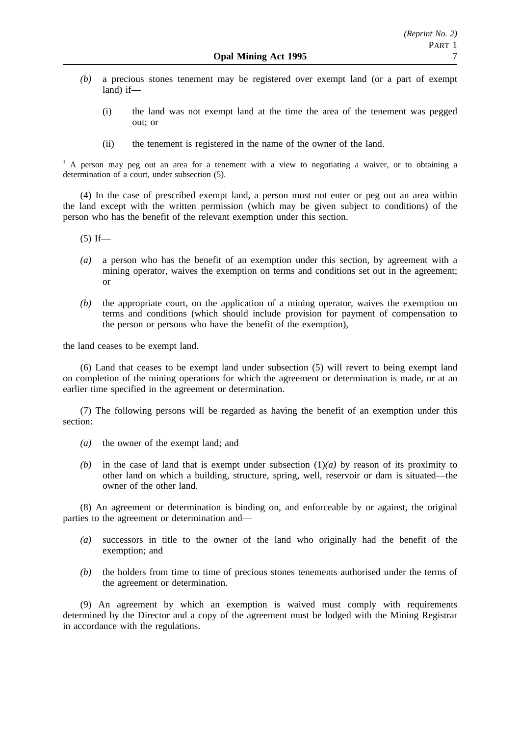- *(b)* a precious stones tenement may be registered over exempt land (or a part of exempt land) if—
	- (i) the land was not exempt land at the time the area of the tenement was pegged out; or
	- (ii) the tenement is registered in the name of the owner of the land.

<sup>1</sup> A person may peg out an area for a tenement with a view to negotiating a waiver, or to obtaining a determination of a court, under subsection (5).

(4) In the case of prescribed exempt land, a person must not enter or peg out an area within the land except with the written permission (which may be given subject to conditions) of the person who has the benefit of the relevant exemption under this section.

 $(5)$  If—

- *(a)* a person who has the benefit of an exemption under this section, by agreement with a mining operator, waives the exemption on terms and conditions set out in the agreement; or
- *(b)* the appropriate court, on the application of a mining operator, waives the exemption on terms and conditions (which should include provision for payment of compensation to the person or persons who have the benefit of the exemption),

the land ceases to be exempt land.

(6) Land that ceases to be exempt land under subsection (5) will revert to being exempt land on completion of the mining operations for which the agreement or determination is made, or at an earlier time specified in the agreement or determination.

(7) The following persons will be regarded as having the benefit of an exemption under this section:

- *(a)* the owner of the exempt land; and
- *(b)* in the case of land that is exempt under subsection  $(1)(a)$  by reason of its proximity to other land on which a building, structure, spring, well, reservoir or dam is situated—the owner of the other land.

(8) An agreement or determination is binding on, and enforceable by or against, the original parties to the agreement or determination and—

- *(a)* successors in title to the owner of the land who originally had the benefit of the exemption; and
- *(b)* the holders from time to time of precious stones tenements authorised under the terms of the agreement or determination.

(9) An agreement by which an exemption is waived must comply with requirements determined by the Director and a copy of the agreement must be lodged with the Mining Registrar in accordance with the regulations.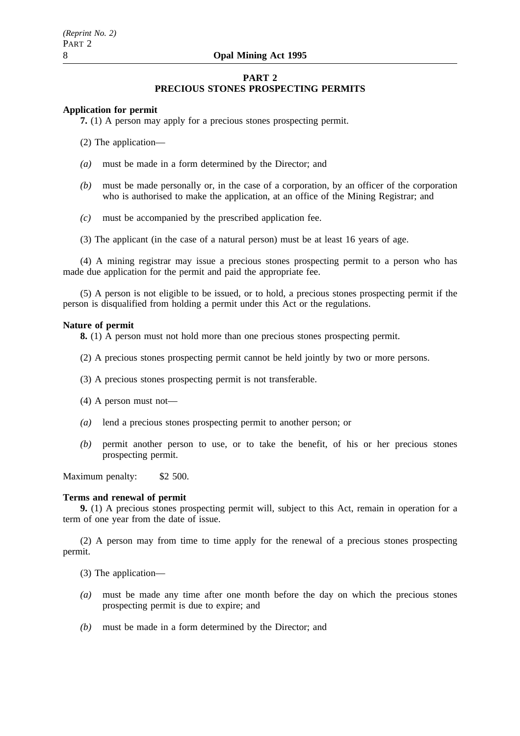# **PART 2 PRECIOUS STONES PROSPECTING PERMITS**

## **Application for permit**

**7.** (1) A person may apply for a precious stones prospecting permit.

(2) The application—

- *(a)* must be made in a form determined by the Director; and
- *(b)* must be made personally or, in the case of a corporation, by an officer of the corporation who is authorised to make the application, at an office of the Mining Registrar; and
- *(c)* must be accompanied by the prescribed application fee.
- (3) The applicant (in the case of a natural person) must be at least 16 years of age.

(4) A mining registrar may issue a precious stones prospecting permit to a person who has made due application for the permit and paid the appropriate fee.

(5) A person is not eligible to be issued, or to hold, a precious stones prospecting permit if the person is disqualified from holding a permit under this Act or the regulations.

#### **Nature of permit**

**8.** (1) A person must not hold more than one precious stones prospecting permit.

- (2) A precious stones prospecting permit cannot be held jointly by two or more persons.
- (3) A precious stones prospecting permit is not transferable.
- (4) A person must not—
- *(a)* lend a precious stones prospecting permit to another person; or
- *(b)* permit another person to use, or to take the benefit, of his or her precious stones prospecting permit.

Maximum penalty: \$2 500.

#### **Terms and renewal of permit**

**9.** (1) A precious stones prospecting permit will, subject to this Act, remain in operation for a term of one year from the date of issue.

(2) A person may from time to time apply for the renewal of a precious stones prospecting permit.

(3) The application—

- *(a)* must be made any time after one month before the day on which the precious stones prospecting permit is due to expire; and
- *(b)* must be made in a form determined by the Director; and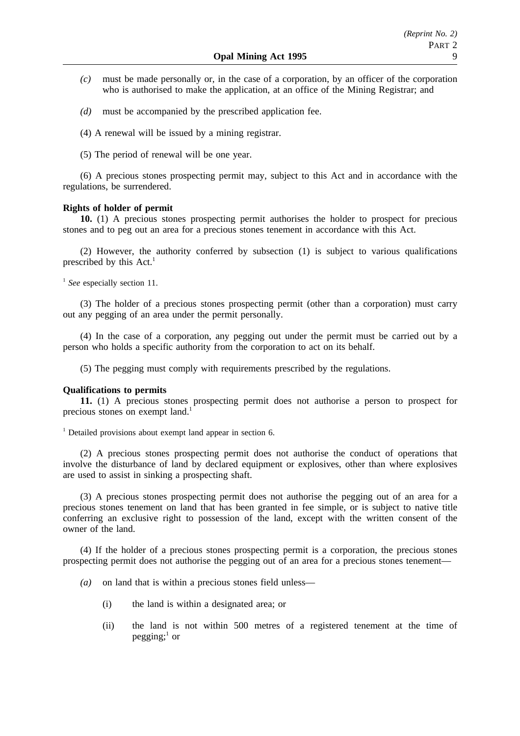- *(c)* must be made personally or, in the case of a corporation, by an officer of the corporation who is authorised to make the application, at an office of the Mining Registrar; and
- *(d)* must be accompanied by the prescribed application fee.
- (4) A renewal will be issued by a mining registrar.
- (5) The period of renewal will be one year.

(6) A precious stones prospecting permit may, subject to this Act and in accordance with the regulations, be surrendered.

# **Rights of holder of permit**

**10.** (1) A precious stones prospecting permit authorises the holder to prospect for precious stones and to peg out an area for a precious stones tenement in accordance with this Act.

(2) However, the authority conferred by subsection (1) is subject to various qualifications prescribed by this  $Act.$ <sup>1</sup>

<sup>1</sup> See especially section 11.

(3) The holder of a precious stones prospecting permit (other than a corporation) must carry out any pegging of an area under the permit personally.

(4) In the case of a corporation, any pegging out under the permit must be carried out by a person who holds a specific authority from the corporation to act on its behalf.

(5) The pegging must comply with requirements prescribed by the regulations.

# **Qualifications to permits**

**11.** (1) A precious stones prospecting permit does not authorise a person to prospect for precious stones on exempt land.<sup>1</sup>

 $1$  Detailed provisions about exempt land appear in section 6.

(2) A precious stones prospecting permit does not authorise the conduct of operations that involve the disturbance of land by declared equipment or explosives, other than where explosives are used to assist in sinking a prospecting shaft.

(3) A precious stones prospecting permit does not authorise the pegging out of an area for a precious stones tenement on land that has been granted in fee simple, or is subject to native title conferring an exclusive right to possession of the land, except with the written consent of the owner of the land.

(4) If the holder of a precious stones prospecting permit is a corporation, the precious stones prospecting permit does not authorise the pegging out of an area for a precious stones tenement—

- *(a)* on land that is within a precious stones field unless—
	- (i) the land is within a designated area; or
	- (ii) the land is not within 500 metres of a registered tenement at the time of pegging; $<sup>1</sup>$  or</sup>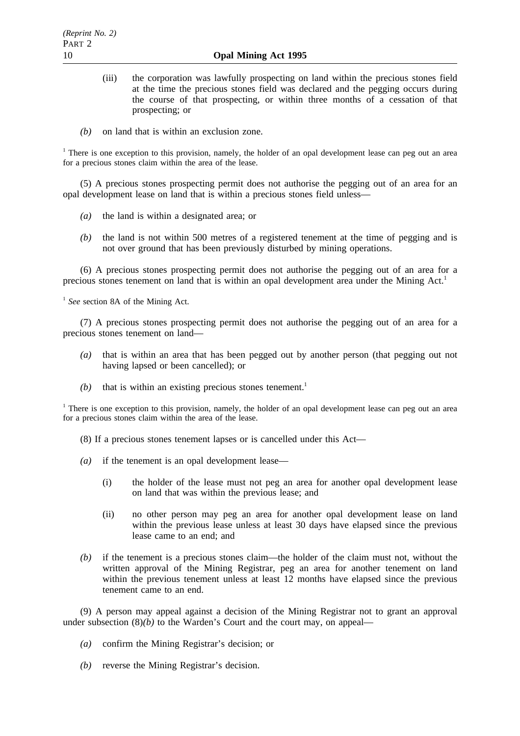- (iii) the corporation was lawfully prospecting on land within the precious stones field at the time the precious stones field was declared and the pegging occurs during the course of that prospecting, or within three months of a cessation of that prospecting; or
- *(b)* on land that is within an exclusion zone.

<sup>1</sup> There is one exception to this provision, namely, the holder of an opal development lease can peg out an area for a precious stones claim within the area of the lease.

(5) A precious stones prospecting permit does not authorise the pegging out of an area for an opal development lease on land that is within a precious stones field unless—

- *(a)* the land is within a designated area; or
- *(b)* the land is not within 500 metres of a registered tenement at the time of pegging and is not over ground that has been previously disturbed by mining operations.

(6) A precious stones prospecting permit does not authorise the pegging out of an area for a precious stones tenement on land that is within an opal development area under the Mining Act.<sup>1</sup>

<sup>1</sup> See section 8A of the Mining Act.

(7) A precious stones prospecting permit does not authorise the pegging out of an area for a precious stones tenement on land—

- *(a)* that is within an area that has been pegged out by another person (that pegging out not having lapsed or been cancelled); or
- $(b)$  that is within an existing precious stones tenement.<sup>1</sup>

<sup>1</sup> There is one exception to this provision, namely, the holder of an opal development lease can peg out an area for a precious stones claim within the area of the lease.

(8) If a precious stones tenement lapses or is cancelled under this Act—

- *(a)* if the tenement is an opal development lease—
	- (i) the holder of the lease must not peg an area for another opal development lease on land that was within the previous lease; and
	- (ii) no other person may peg an area for another opal development lease on land within the previous lease unless at least 30 days have elapsed since the previous lease came to an end; and
- *(b)* if the tenement is a precious stones claim—the holder of the claim must not, without the written approval of the Mining Registrar, peg an area for another tenement on land within the previous tenement unless at least 12 months have elapsed since the previous tenement came to an end.

(9) A person may appeal against a decision of the Mining Registrar not to grant an approval under subsection  $(8)(b)$  to the Warden's Court and the court may, on appeal—

- *(a)* confirm the Mining Registrar's decision; or
- *(b)* reverse the Mining Registrar's decision.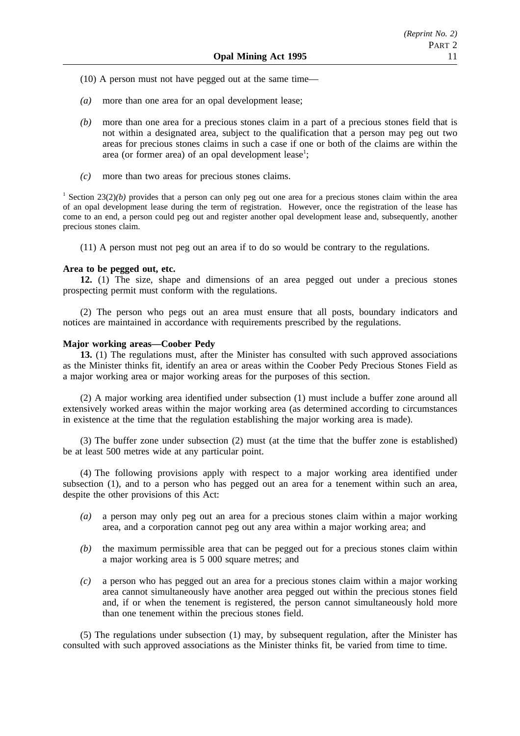- (10) A person must not have pegged out at the same time—
- *(a)* more than one area for an opal development lease;
- *(b)* more than one area for a precious stones claim in a part of a precious stones field that is not within a designated area, subject to the qualification that a person may peg out two areas for precious stones claims in such a case if one or both of the claims are within the area (or former area) of an opal development lease<sup>1</sup>;
- *(c)* more than two areas for precious stones claims.

<sup>1</sup> Section 23(2)(*b*) provides that a person can only peg out one area for a precious stones claim within the area of an opal development lease during the term of registration. However, once the registration of the lease has come to an end, a person could peg out and register another opal development lease and, subsequently, another precious stones claim.

(11) A person must not peg out an area if to do so would be contrary to the regulations.

### **Area to be pegged out, etc.**

**12.** (1) The size, shape and dimensions of an area pegged out under a precious stones prospecting permit must conform with the regulations.

(2) The person who pegs out an area must ensure that all posts, boundary indicators and notices are maintained in accordance with requirements prescribed by the regulations.

#### **Major working areas—Coober Pedy**

**13.** (1) The regulations must, after the Minister has consulted with such approved associations as the Minister thinks fit, identify an area or areas within the Coober Pedy Precious Stones Field as a major working area or major working areas for the purposes of this section.

(2) A major working area identified under subsection (1) must include a buffer zone around all extensively worked areas within the major working area (as determined according to circumstances in existence at the time that the regulation establishing the major working area is made).

(3) The buffer zone under subsection (2) must (at the time that the buffer zone is established) be at least 500 metres wide at any particular point.

(4) The following provisions apply with respect to a major working area identified under subsection (1), and to a person who has pegged out an area for a tenement within such an area, despite the other provisions of this Act:

- *(a)* a person may only peg out an area for a precious stones claim within a major working area, and a corporation cannot peg out any area within a major working area; and
- *(b)* the maximum permissible area that can be pegged out for a precious stones claim within a major working area is 5 000 square metres; and
- *(c)* a person who has pegged out an area for a precious stones claim within a major working area cannot simultaneously have another area pegged out within the precious stones field and, if or when the tenement is registered, the person cannot simultaneously hold more than one tenement within the precious stones field.

(5) The regulations under subsection (1) may, by subsequent regulation, after the Minister has consulted with such approved associations as the Minister thinks fit, be varied from time to time.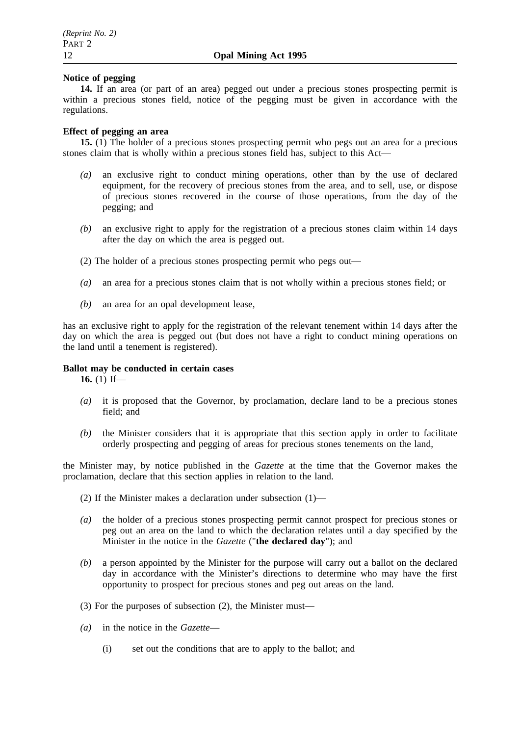# **Notice of pegging**

**14.** If an area (or part of an area) pegged out under a precious stones prospecting permit is within a precious stones field, notice of the pegging must be given in accordance with the regulations.

# **Effect of pegging an area**

**15.** (1) The holder of a precious stones prospecting permit who pegs out an area for a precious stones claim that is wholly within a precious stones field has, subject to this Act—

- *(a)* an exclusive right to conduct mining operations, other than by the use of declared equipment, for the recovery of precious stones from the area, and to sell, use, or dispose of precious stones recovered in the course of those operations, from the day of the pegging; and
- *(b)* an exclusive right to apply for the registration of a precious stones claim within 14 days after the day on which the area is pegged out.
- (2) The holder of a precious stones prospecting permit who pegs out—
- *(a)* an area for a precious stones claim that is not wholly within a precious stones field; or
- *(b)* an area for an opal development lease,

has an exclusive right to apply for the registration of the relevant tenement within 14 days after the day on which the area is pegged out (but does not have a right to conduct mining operations on the land until a tenement is registered).

# **Ballot may be conducted in certain cases**

**16.** (1) If—

- *(a)* it is proposed that the Governor, by proclamation, declare land to be a precious stones field; and
- *(b)* the Minister considers that it is appropriate that this section apply in order to facilitate orderly prospecting and pegging of areas for precious stones tenements on the land,

the Minister may, by notice published in the *Gazette* at the time that the Governor makes the proclamation, declare that this section applies in relation to the land.

- (2) If the Minister makes a declaration under subsection (1)—
- *(a)* the holder of a precious stones prospecting permit cannot prospect for precious stones or peg out an area on the land to which the declaration relates until a day specified by the Minister in the notice in the *Gazette* ("**the declared day**"); and
- *(b)* a person appointed by the Minister for the purpose will carry out a ballot on the declared day in accordance with the Minister's directions to determine who may have the first opportunity to prospect for precious stones and peg out areas on the land.
- (3) For the purposes of subsection (2), the Minister must—
- *(a)* in the notice in the *Gazette*
	- (i) set out the conditions that are to apply to the ballot; and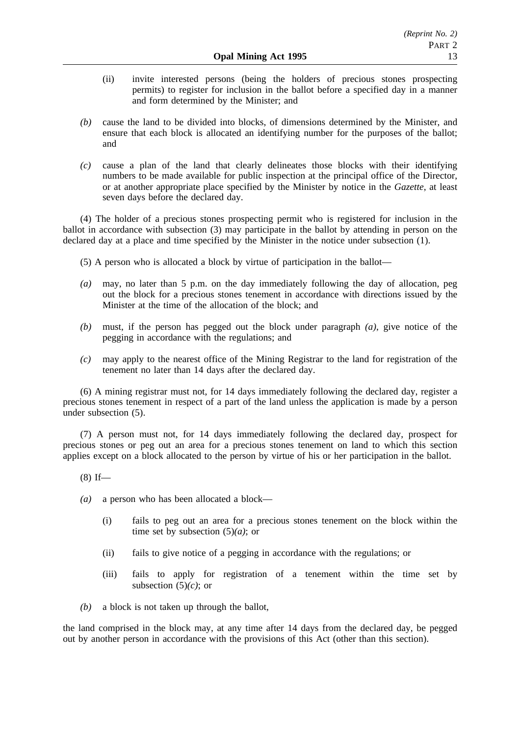- (ii) invite interested persons (being the holders of precious stones prospecting permits) to register for inclusion in the ballot before a specified day in a manner and form determined by the Minister; and
- *(b)* cause the land to be divided into blocks, of dimensions determined by the Minister, and ensure that each block is allocated an identifying number for the purposes of the ballot; and
- *(c)* cause a plan of the land that clearly delineates those blocks with their identifying numbers to be made available for public inspection at the principal office of the Director, or at another appropriate place specified by the Minister by notice in the *Gazette*, at least seven days before the declared day.

(4) The holder of a precious stones prospecting permit who is registered for inclusion in the ballot in accordance with subsection (3) may participate in the ballot by attending in person on the declared day at a place and time specified by the Minister in the notice under subsection (1).

- (5) A person who is allocated a block by virtue of participation in the ballot—
- *(a)* may, no later than 5 p.m. on the day immediately following the day of allocation, peg out the block for a precious stones tenement in accordance with directions issued by the Minister at the time of the allocation of the block; and
- *(b)* must, if the person has pegged out the block under paragraph *(a)*, give notice of the pegging in accordance with the regulations; and
- *(c)* may apply to the nearest office of the Mining Registrar to the land for registration of the tenement no later than 14 days after the declared day.

(6) A mining registrar must not, for 14 days immediately following the declared day, register a precious stones tenement in respect of a part of the land unless the application is made by a person under subsection (5).

(7) A person must not, for 14 days immediately following the declared day, prospect for precious stones or peg out an area for a precious stones tenement on land to which this section applies except on a block allocated to the person by virtue of his or her participation in the ballot.

- $(8)$  If—
- *(a)* a person who has been allocated a block—
	- (i) fails to peg out an area for a precious stones tenement on the block within the time set by subsection (5)*(a)*; or
	- (ii) fails to give notice of a pegging in accordance with the regulations; or
	- (iii) fails to apply for registration of a tenement within the time set by subsection (5)*(c)*; or
- *(b)* a block is not taken up through the ballot,

the land comprised in the block may, at any time after 14 days from the declared day, be pegged out by another person in accordance with the provisions of this Act (other than this section).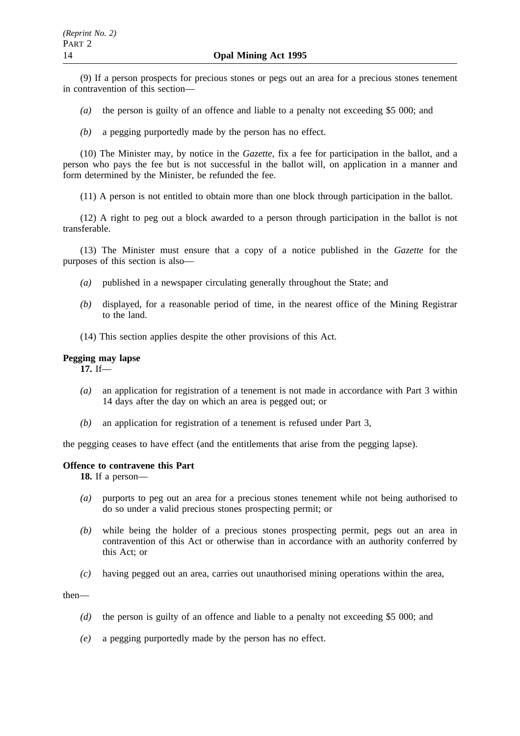(9) If a person prospects for precious stones or pegs out an area for a precious stones tenement in contravention of this section—

- *(a)* the person is guilty of an offence and liable to a penalty not exceeding \$5 000; and
- *(b)* a pegging purportedly made by the person has no effect.

(10) The Minister may, by notice in the *Gazette*, fix a fee for participation in the ballot, and a person who pays the fee but is not successful in the ballot will, on application in a manner and form determined by the Minister, be refunded the fee.

(11) A person is not entitled to obtain more than one block through participation in the ballot.

(12) A right to peg out a block awarded to a person through participation in the ballot is not transferable.

(13) The Minister must ensure that a copy of a notice published in the *Gazette* for the purposes of this section is also—

- *(a)* published in a newspaper circulating generally throughout the State; and
- *(b)* displayed, for a reasonable period of time, in the nearest office of the Mining Registrar to the land.
- (14) This section applies despite the other provisions of this Act.

# **Pegging may lapse**

**17.** If—

- *(a)* an application for registration of a tenement is not made in accordance with Part 3 within 14 days after the day on which an area is pegged out; or
- *(b)* an application for registration of a tenement is refused under Part 3,

the pegging ceases to have effect (and the entitlements that arise from the pegging lapse).

### **Offence to contravene this Part**

**18.** If a person—

- *(a)* purports to peg out an area for a precious stones tenement while not being authorised to do so under a valid precious stones prospecting permit; or
- *(b)* while being the holder of a precious stones prospecting permit, pegs out an area in contravention of this Act or otherwise than in accordance with an authority conferred by this Act; or
- *(c)* having pegged out an area, carries out unauthorised mining operations within the area,

then—

- *(d)* the person is guilty of an offence and liable to a penalty not exceeding \$5 000; and
- *(e)* a pegging purportedly made by the person has no effect.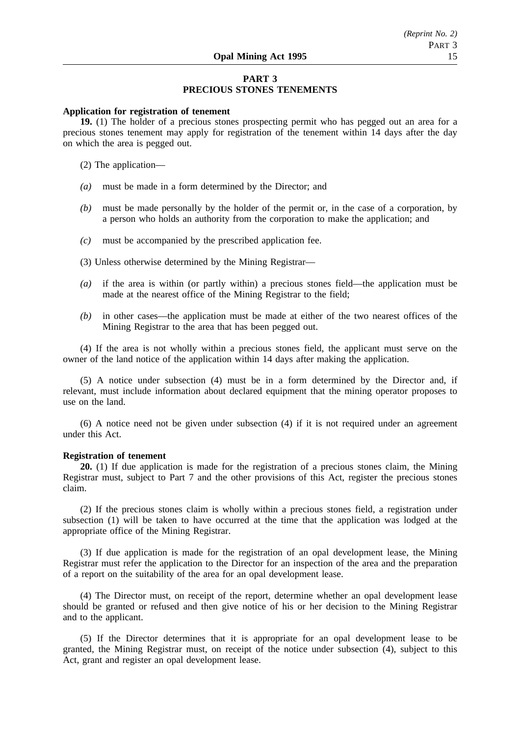# **PART 3 PRECIOUS STONES TENEMENTS**

# **Application for registration of tenement**

**19.** (1) The holder of a precious stones prospecting permit who has pegged out an area for a precious stones tenement may apply for registration of the tenement within 14 days after the day on which the area is pegged out.

(2) The application—

- *(a)* must be made in a form determined by the Director; and
- *(b)* must be made personally by the holder of the permit or, in the case of a corporation, by a person who holds an authority from the corporation to make the application; and
- *(c)* must be accompanied by the prescribed application fee.
- (3) Unless otherwise determined by the Mining Registrar—
- *(a)* if the area is within (or partly within) a precious stones field—the application must be made at the nearest office of the Mining Registrar to the field;
- *(b)* in other cases—the application must be made at either of the two nearest offices of the Mining Registrar to the area that has been pegged out.

(4) If the area is not wholly within a precious stones field, the applicant must serve on the owner of the land notice of the application within 14 days after making the application.

(5) A notice under subsection (4) must be in a form determined by the Director and, if relevant, must include information about declared equipment that the mining operator proposes to use on the land.

(6) A notice need not be given under subsection (4) if it is not required under an agreement under this Act.

#### **Registration of tenement**

**20.** (1) If due application is made for the registration of a precious stones claim, the Mining Registrar must, subject to Part 7 and the other provisions of this Act, register the precious stones claim.

(2) If the precious stones claim is wholly within a precious stones field, a registration under subsection (1) will be taken to have occurred at the time that the application was lodged at the appropriate office of the Mining Registrar.

(3) If due application is made for the registration of an opal development lease, the Mining Registrar must refer the application to the Director for an inspection of the area and the preparation of a report on the suitability of the area for an opal development lease.

(4) The Director must, on receipt of the report, determine whether an opal development lease should be granted or refused and then give notice of his or her decision to the Mining Registrar and to the applicant.

(5) If the Director determines that it is appropriate for an opal development lease to be granted, the Mining Registrar must, on receipt of the notice under subsection (4), subject to this Act, grant and register an opal development lease.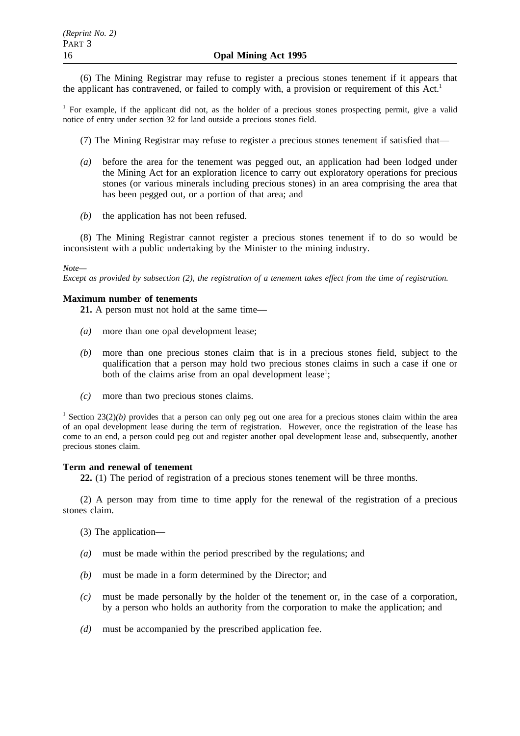(6) The Mining Registrar may refuse to register a precious stones tenement if it appears that the applicant has contravened, or failed to comply with, a provision or requirement of this  $Act<sup>1</sup>$ 

<sup>1</sup> For example, if the applicant did not, as the holder of a precious stones prospecting permit, give a valid notice of entry under section 32 for land outside a precious stones field.

(7) The Mining Registrar may refuse to register a precious stones tenement if satisfied that—

- *(a)* before the area for the tenement was pegged out, an application had been lodged under the Mining Act for an exploration licence to carry out exploratory operations for precious stones (or various minerals including precious stones) in an area comprising the area that has been pegged out, or a portion of that area; and
- *(b)* the application has not been refused.

(8) The Mining Registrar cannot register a precious stones tenement if to do so would be inconsistent with a public undertaking by the Minister to the mining industry.

### *Note—*

*Except as provided by subsection (2), the registration of a tenement takes effect from the time of registration.*

# **Maximum number of tenements**

**21.** A person must not hold at the same time—

- *(a)* more than one opal development lease;
- *(b)* more than one precious stones claim that is in a precious stones field, subject to the qualification that a person may hold two precious stones claims in such a case if one or both of the claims arise from an opal development lease<sup>1</sup>;
- *(c)* more than two precious stones claims.

<sup>1</sup> Section 23(2)(*b*) provides that a person can only peg out one area for a precious stones claim within the area of an opal development lease during the term of registration. However, once the registration of the lease has come to an end, a person could peg out and register another opal development lease and, subsequently, another precious stones claim.

# **Term and renewal of tenement**

**22.** (1) The period of registration of a precious stones tenement will be three months.

(2) A person may from time to time apply for the renewal of the registration of a precious stones claim.

(3) The application—

- *(a)* must be made within the period prescribed by the regulations; and
- *(b)* must be made in a form determined by the Director; and
- *(c)* must be made personally by the holder of the tenement or, in the case of a corporation, by a person who holds an authority from the corporation to make the application; and
- *(d)* must be accompanied by the prescribed application fee.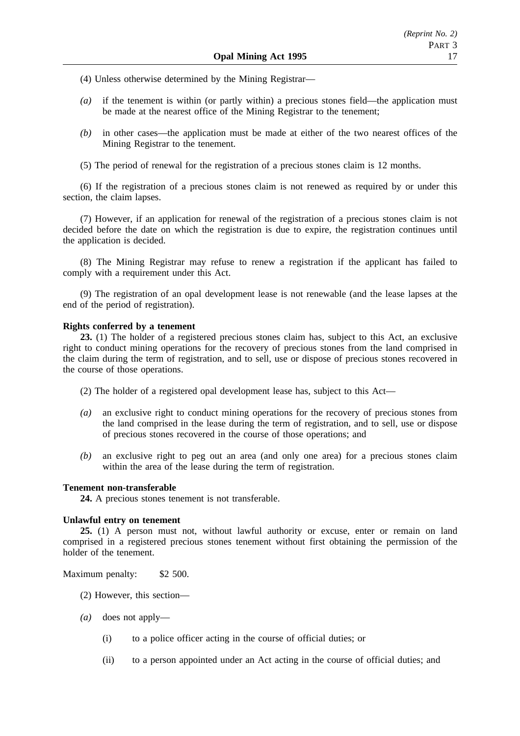(4) Unless otherwise determined by the Mining Registrar—

- *(a)* if the tenement is within (or partly within) a precious stones field—the application must be made at the nearest office of the Mining Registrar to the tenement;
- *(b)* in other cases—the application must be made at either of the two nearest offices of the Mining Registrar to the tenement.

(5) The period of renewal for the registration of a precious stones claim is 12 months.

(6) If the registration of a precious stones claim is not renewed as required by or under this section, the claim lapses.

(7) However, if an application for renewal of the registration of a precious stones claim is not decided before the date on which the registration is due to expire, the registration continues until the application is decided.

(8) The Mining Registrar may refuse to renew a registration if the applicant has failed to comply with a requirement under this Act.

(9) The registration of an opal development lease is not renewable (and the lease lapses at the end of the period of registration).

# **Rights conferred by a tenement**

**23.** (1) The holder of a registered precious stones claim has, subject to this Act, an exclusive right to conduct mining operations for the recovery of precious stones from the land comprised in the claim during the term of registration, and to sell, use or dispose of precious stones recovered in the course of those operations.

- (2) The holder of a registered opal development lease has, subject to this Act—
- *(a)* an exclusive right to conduct mining operations for the recovery of precious stones from the land comprised in the lease during the term of registration, and to sell, use or dispose of precious stones recovered in the course of those operations; and
- *(b)* an exclusive right to peg out an area (and only one area) for a precious stones claim within the area of the lease during the term of registration.

# **Tenement non-transferable**

**24.** A precious stones tenement is not transferable.

# **Unlawful entry on tenement**

**25.** (1) A person must not, without lawful authority or excuse, enter or remain on land comprised in a registered precious stones tenement without first obtaining the permission of the holder of the tenement.

Maximum penalty: \$2 500.

- (2) However, this section—
- *(a)* does not apply—
	- (i) to a police officer acting in the course of official duties; or
	- (ii) to a person appointed under an Act acting in the course of official duties; and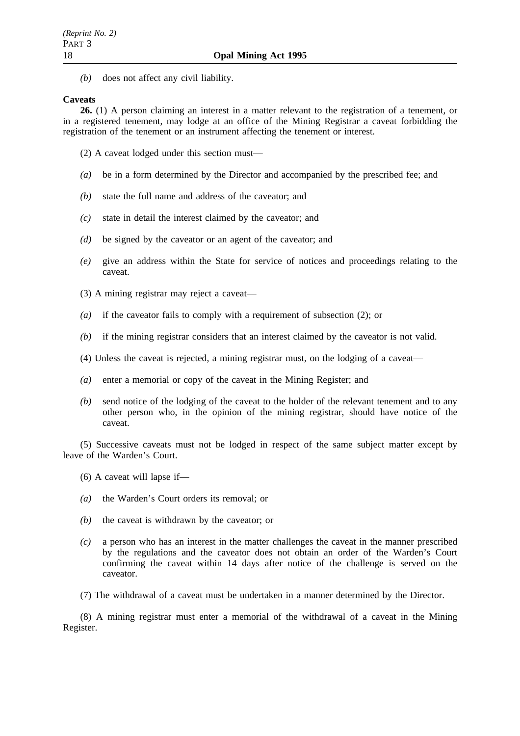*(b)* does not affect any civil liability.

# **Caveats**

**26.** (1) A person claiming an interest in a matter relevant to the registration of a tenement, or in a registered tenement, may lodge at an office of the Mining Registrar a caveat forbidding the registration of the tenement or an instrument affecting the tenement or interest.

- (2) A caveat lodged under this section must—
- *(a)* be in a form determined by the Director and accompanied by the prescribed fee; and
- *(b)* state the full name and address of the caveator; and
- *(c)* state in detail the interest claimed by the caveator; and
- *(d)* be signed by the caveator or an agent of the caveator; and
- *(e)* give an address within the State for service of notices and proceedings relating to the caveat.
- (3) A mining registrar may reject a caveat—
- *(a)* if the caveator fails to comply with a requirement of subsection (2); or
- *(b)* if the mining registrar considers that an interest claimed by the caveator is not valid.
- (4) Unless the caveat is rejected, a mining registrar must, on the lodging of a caveat—
- *(a)* enter a memorial or copy of the caveat in the Mining Register; and
- *(b)* send notice of the lodging of the caveat to the holder of the relevant tenement and to any other person who, in the opinion of the mining registrar, should have notice of the caveat.

(5) Successive caveats must not be lodged in respect of the same subject matter except by leave of the Warden's Court.

- (6) A caveat will lapse if—
- *(a)* the Warden's Court orders its removal; or
- *(b)* the caveat is withdrawn by the caveator; or
- *(c)* a person who has an interest in the matter challenges the caveat in the manner prescribed by the regulations and the caveator does not obtain an order of the Warden's Court confirming the caveat within 14 days after notice of the challenge is served on the caveator.
- (7) The withdrawal of a caveat must be undertaken in a manner determined by the Director.

(8) A mining registrar must enter a memorial of the withdrawal of a caveat in the Mining Register.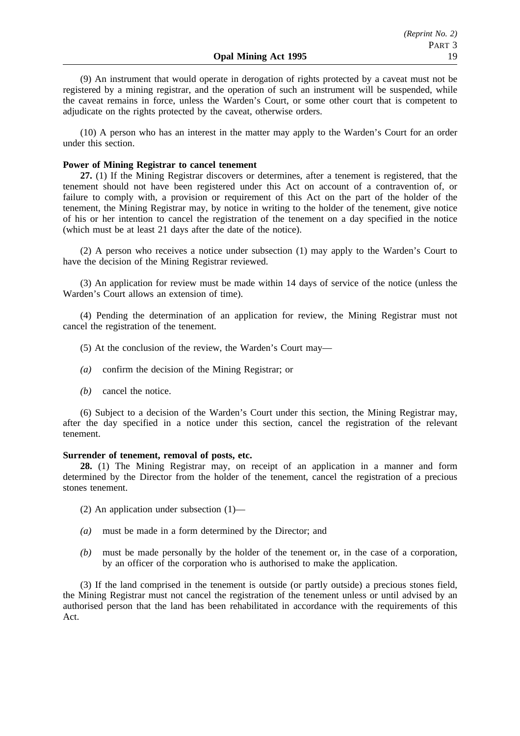(9) An instrument that would operate in derogation of rights protected by a caveat must not be registered by a mining registrar, and the operation of such an instrument will be suspended, while the caveat remains in force, unless the Warden's Court, or some other court that is competent to adjudicate on the rights protected by the caveat, otherwise orders.

(10) A person who has an interest in the matter may apply to the Warden's Court for an order under this section.

## **Power of Mining Registrar to cancel tenement**

**27.** (1) If the Mining Registrar discovers or determines, after a tenement is registered, that the tenement should not have been registered under this Act on account of a contravention of, or failure to comply with, a provision or requirement of this Act on the part of the holder of the tenement, the Mining Registrar may, by notice in writing to the holder of the tenement, give notice of his or her intention to cancel the registration of the tenement on a day specified in the notice (which must be at least 21 days after the date of the notice).

(2) A person who receives a notice under subsection (1) may apply to the Warden's Court to have the decision of the Mining Registrar reviewed.

(3) An application for review must be made within 14 days of service of the notice (unless the Warden's Court allows an extension of time).

(4) Pending the determination of an application for review, the Mining Registrar must not cancel the registration of the tenement.

- (5) At the conclusion of the review, the Warden's Court may—
- *(a)* confirm the decision of the Mining Registrar; or
- *(b)* cancel the notice.

(6) Subject to a decision of the Warden's Court under this section, the Mining Registrar may, after the day specified in a notice under this section, cancel the registration of the relevant tenement.

#### **Surrender of tenement, removal of posts, etc.**

**28.** (1) The Mining Registrar may, on receipt of an application in a manner and form determined by the Director from the holder of the tenement, cancel the registration of a precious stones tenement.

- (2) An application under subsection (1)—
- *(a)* must be made in a form determined by the Director; and
- *(b)* must be made personally by the holder of the tenement or, in the case of a corporation, by an officer of the corporation who is authorised to make the application.

(3) If the land comprised in the tenement is outside (or partly outside) a precious stones field, the Mining Registrar must not cancel the registration of the tenement unless or until advised by an authorised person that the land has been rehabilitated in accordance with the requirements of this Act.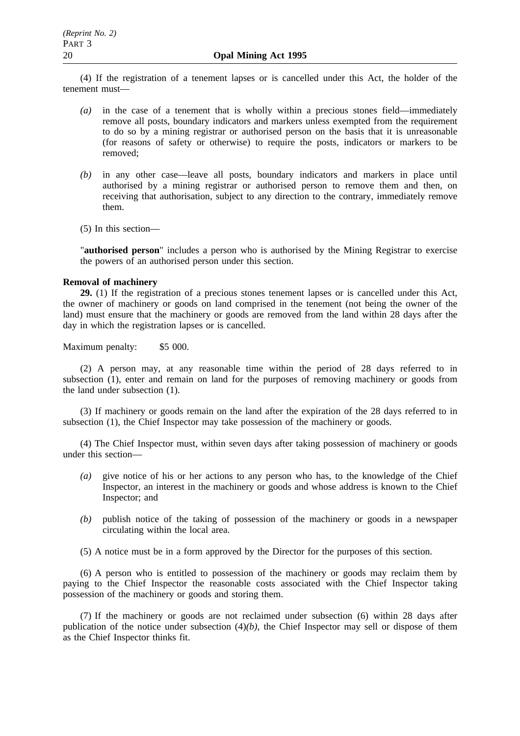(4) If the registration of a tenement lapses or is cancelled under this Act, the holder of the tenement must—

- *(a)* in the case of a tenement that is wholly within a precious stones field—immediately remove all posts, boundary indicators and markers unless exempted from the requirement to do so by a mining registrar or authorised person on the basis that it is unreasonable (for reasons of safety or otherwise) to require the posts, indicators or markers to be removed;
- *(b)* in any other case—leave all posts, boundary indicators and markers in place until authorised by a mining registrar or authorised person to remove them and then, on receiving that authorisation, subject to any direction to the contrary, immediately remove them.
- (5) In this section—

"**authorised person**" includes a person who is authorised by the Mining Registrar to exercise the powers of an authorised person under this section.

# **Removal of machinery**

**29.** (1) If the registration of a precious stones tenement lapses or is cancelled under this Act, the owner of machinery or goods on land comprised in the tenement (not being the owner of the land) must ensure that the machinery or goods are removed from the land within 28 days after the day in which the registration lapses or is cancelled.

Maximum penalty: \$5 000.

(2) A person may, at any reasonable time within the period of 28 days referred to in subsection (1), enter and remain on land for the purposes of removing machinery or goods from the land under subsection (1).

(3) If machinery or goods remain on the land after the expiration of the 28 days referred to in subsection (1), the Chief Inspector may take possession of the machinery or goods.

(4) The Chief Inspector must, within seven days after taking possession of machinery or goods under this section—

- *(a)* give notice of his or her actions to any person who has, to the knowledge of the Chief Inspector, an interest in the machinery or goods and whose address is known to the Chief Inspector; and
- *(b)* publish notice of the taking of possession of the machinery or goods in a newspaper circulating within the local area.

(5) A notice must be in a form approved by the Director for the purposes of this section.

(6) A person who is entitled to possession of the machinery or goods may reclaim them by paying to the Chief Inspector the reasonable costs associated with the Chief Inspector taking possession of the machinery or goods and storing them.

(7) If the machinery or goods are not reclaimed under subsection (6) within 28 days after publication of the notice under subsection (4)*(b)*, the Chief Inspector may sell or dispose of them as the Chief Inspector thinks fit.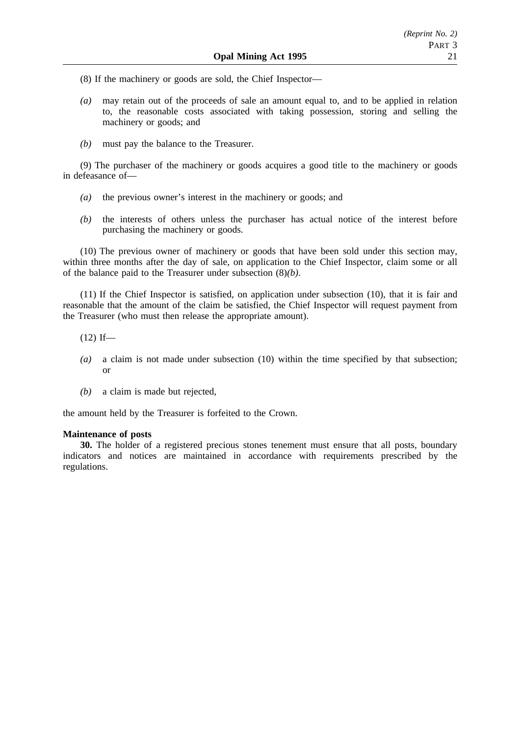(8) If the machinery or goods are sold, the Chief Inspector—

- *(a)* may retain out of the proceeds of sale an amount equal to, and to be applied in relation to, the reasonable costs associated with taking possession, storing and selling the machinery or goods; and
- *(b)* must pay the balance to the Treasurer.

(9) The purchaser of the machinery or goods acquires a good title to the machinery or goods in defeasance of—

- *(a)* the previous owner's interest in the machinery or goods; and
- *(b)* the interests of others unless the purchaser has actual notice of the interest before purchasing the machinery or goods.

(10) The previous owner of machinery or goods that have been sold under this section may, within three months after the day of sale, on application to the Chief Inspector, claim some or all of the balance paid to the Treasurer under subsection (8)*(b)*.

(11) If the Chief Inspector is satisfied, on application under subsection (10), that it is fair and reasonable that the amount of the claim be satisfied, the Chief Inspector will request payment from the Treasurer (who must then release the appropriate amount).

- $(12)$  If—
- *(a)* a claim is not made under subsection (10) within the time specified by that subsection; or
- *(b)* a claim is made but rejected,

the amount held by the Treasurer is forfeited to the Crown.

# **Maintenance of posts**

**30.** The holder of a registered precious stones tenement must ensure that all posts, boundary indicators and notices are maintained in accordance with requirements prescribed by the regulations.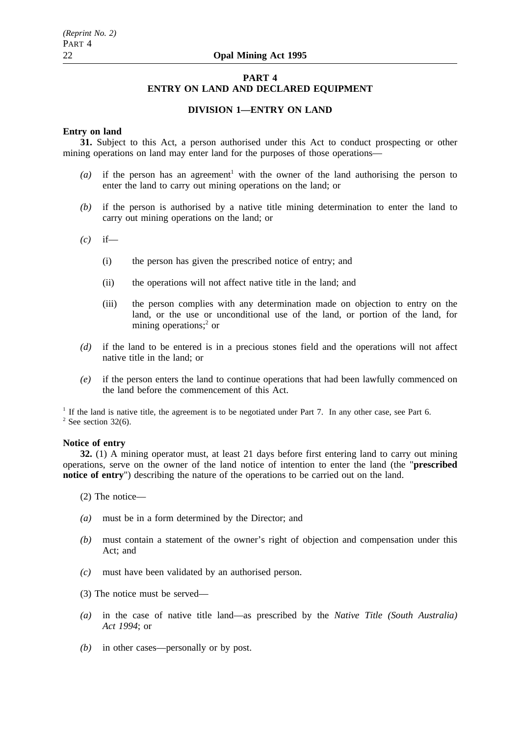# **PART 4 ENTRY ON LAND AND DECLARED EQUIPMENT**

# **DIVISION 1—ENTRY ON LAND**

# **Entry on land**

**31.** Subject to this Act, a person authorised under this Act to conduct prospecting or other mining operations on land may enter land for the purposes of those operations—

- $(a)$  if the person has an agreement<sup>1</sup> with the owner of the land authorising the person to enter the land to carry out mining operations on the land; or
- *(b)* if the person is authorised by a native title mining determination to enter the land to carry out mining operations on the land; or
- *(c)* if—
	- (i) the person has given the prescribed notice of entry; and
	- (ii) the operations will not affect native title in the land; and
	- (iii) the person complies with any determination made on objection to entry on the land, or the use or unconditional use of the land, or portion of the land, for mining operations;<sup>2</sup> or
- *(d)* if the land to be entered is in a precious stones field and the operations will not affect native title in the land; or
- *(e)* if the person enters the land to continue operations that had been lawfully commenced on the land before the commencement of this Act.

<sup>1</sup> If the land is native title, the agreement is to be negotiated under Part 7. In any other case, see Part 6.  $2$  See section 32(6).

### **Notice of entry**

**32.** (1) A mining operator must, at least 21 days before first entering land to carry out mining operations, serve on the owner of the land notice of intention to enter the land (the "**prescribed notice of entry**") describing the nature of the operations to be carried out on the land.

(2) The notice—

- *(a)* must be in a form determined by the Director; and
- *(b)* must contain a statement of the owner's right of objection and compensation under this Act; and
- *(c)* must have been validated by an authorised person.
- (3) The notice must be served—
- *(a)* in the case of native title land—as prescribed by the *Native Title (South Australia) Act 1994*; or
- *(b)* in other cases—personally or by post.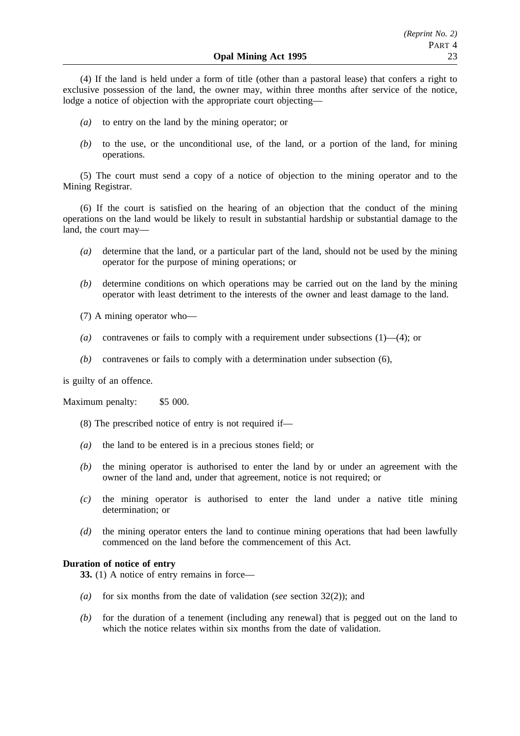(4) If the land is held under a form of title (other than a pastoral lease) that confers a right to exclusive possession of the land, the owner may, within three months after service of the notice, lodge a notice of objection with the appropriate court objecting—

- *(a)* to entry on the land by the mining operator; or
- *(b)* to the use, or the unconditional use, of the land, or a portion of the land, for mining operations.

(5) The court must send a copy of a notice of objection to the mining operator and to the Mining Registrar.

(6) If the court is satisfied on the hearing of an objection that the conduct of the mining operations on the land would be likely to result in substantial hardship or substantial damage to the land, the court may—

- *(a)* determine that the land, or a particular part of the land, should not be used by the mining operator for the purpose of mining operations; or
- *(b)* determine conditions on which operations may be carried out on the land by the mining operator with least detriment to the interests of the owner and least damage to the land.
- (7) A mining operator who—
- *(a)* contravenes or fails to comply with a requirement under subsections (1)—(4); or
- *(b)* contravenes or fails to comply with a determination under subsection (6),

is guilty of an offence.

Maximum penalty: \$5 000.

- (8) The prescribed notice of entry is not required if—
- *(a)* the land to be entered is in a precious stones field; or
- *(b)* the mining operator is authorised to enter the land by or under an agreement with the owner of the land and, under that agreement, notice is not required; or
- *(c)* the mining operator is authorised to enter the land under a native title mining determination; or
- *(d)* the mining operator enters the land to continue mining operations that had been lawfully commenced on the land before the commencement of this Act.

## **Duration of notice of entry**

**33.** (1) A notice of entry remains in force—

- *(a)* for six months from the date of validation (*see* section 32(2)); and
- *(b)* for the duration of a tenement (including any renewal) that is pegged out on the land to which the notice relates within six months from the date of validation.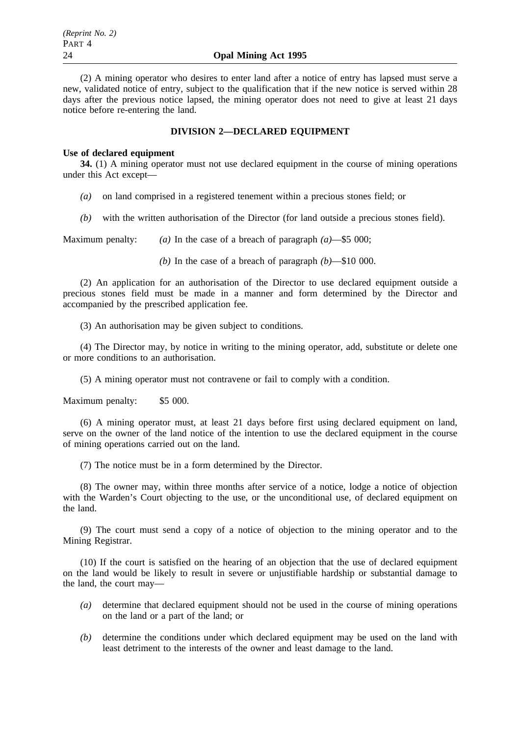(2) A mining operator who desires to enter land after a notice of entry has lapsed must serve a new, validated notice of entry, subject to the qualification that if the new notice is served within 28 days after the previous notice lapsed, the mining operator does not need to give at least 21 days notice before re-entering the land.

# **DIVISION 2—DECLARED EQUIPMENT**

## **Use of declared equipment**

**34.** (1) A mining operator must not use declared equipment in the course of mining operations under this Act except—

- *(a)* on land comprised in a registered tenement within a precious stones field; or
- *(b)* with the written authorisation of the Director (for land outside a precious stones field).

Maximum penalty: *(a)* In the case of a breach of paragraph *(a)*—\$5 000;

*(b)* In the case of a breach of paragraph *(b)*—\$10 000.

(2) An application for an authorisation of the Director to use declared equipment outside a precious stones field must be made in a manner and form determined by the Director and accompanied by the prescribed application fee.

(3) An authorisation may be given subject to conditions.

(4) The Director may, by notice in writing to the mining operator, add, substitute or delete one or more conditions to an authorisation.

(5) A mining operator must not contravene or fail to comply with a condition.

Maximum penalty: \$5 000.

(6) A mining operator must, at least 21 days before first using declared equipment on land, serve on the owner of the land notice of the intention to use the declared equipment in the course of mining operations carried out on the land.

(7) The notice must be in a form determined by the Director.

(8) The owner may, within three months after service of a notice, lodge a notice of objection with the Warden's Court objecting to the use, or the unconditional use, of declared equipment on the land.

(9) The court must send a copy of a notice of objection to the mining operator and to the Mining Registrar.

(10) If the court is satisfied on the hearing of an objection that the use of declared equipment on the land would be likely to result in severe or unjustifiable hardship or substantial damage to the land, the court may—

- *(a)* determine that declared equipment should not be used in the course of mining operations on the land or a part of the land; or
- *(b)* determine the conditions under which declared equipment may be used on the land with least detriment to the interests of the owner and least damage to the land.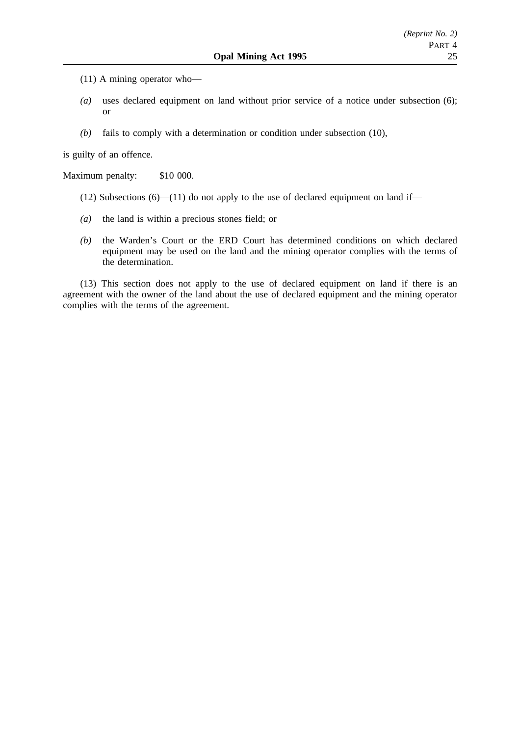- (11) A mining operator who—
- *(a)* uses declared equipment on land without prior service of a notice under subsection (6); or
- *(b)* fails to comply with a determination or condition under subsection (10),

is guilty of an offence.

Maximum penalty: \$10 000.

- (12) Subsections  $(6)$ —(11) do not apply to the use of declared equipment on land if—
- *(a)* the land is within a precious stones field; or
- *(b)* the Warden's Court or the ERD Court has determined conditions on which declared equipment may be used on the land and the mining operator complies with the terms of the determination.

(13) This section does not apply to the use of declared equipment on land if there is an agreement with the owner of the land about the use of declared equipment and the mining operator complies with the terms of the agreement.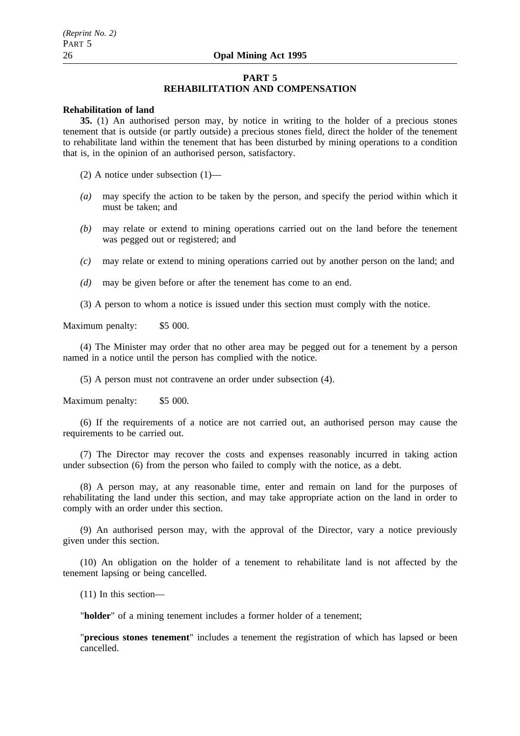## **PART 5 REHABILITATION AND COMPENSATION**

### **Rehabilitation of land**

**35.** (1) An authorised person may, by notice in writing to the holder of a precious stones tenement that is outside (or partly outside) a precious stones field, direct the holder of the tenement to rehabilitate land within the tenement that has been disturbed by mining operations to a condition that is, in the opinion of an authorised person, satisfactory.

(2) A notice under subsection (1)—

- *(a)* may specify the action to be taken by the person, and specify the period within which it must be taken; and
- *(b)* may relate or extend to mining operations carried out on the land before the tenement was pegged out or registered; and
- *(c)* may relate or extend to mining operations carried out by another person on the land; and
- *(d)* may be given before or after the tenement has come to an end.
- (3) A person to whom a notice is issued under this section must comply with the notice.

Maximum penalty: \$5 000.

(4) The Minister may order that no other area may be pegged out for a tenement by a person named in a notice until the person has complied with the notice.

(5) A person must not contravene an order under subsection (4).

Maximum penalty: \$5 000.

(6) If the requirements of a notice are not carried out, an authorised person may cause the requirements to be carried out.

(7) The Director may recover the costs and expenses reasonably incurred in taking action under subsection (6) from the person who failed to comply with the notice, as a debt.

(8) A person may, at any reasonable time, enter and remain on land for the purposes of rehabilitating the land under this section, and may take appropriate action on the land in order to comply with an order under this section.

(9) An authorised person may, with the approval of the Director, vary a notice previously given under this section.

(10) An obligation on the holder of a tenement to rehabilitate land is not affected by the tenement lapsing or being cancelled.

(11) In this section—

"**holder**" of a mining tenement includes a former holder of a tenement;

"**precious stones tenement**" includes a tenement the registration of which has lapsed or been cancelled.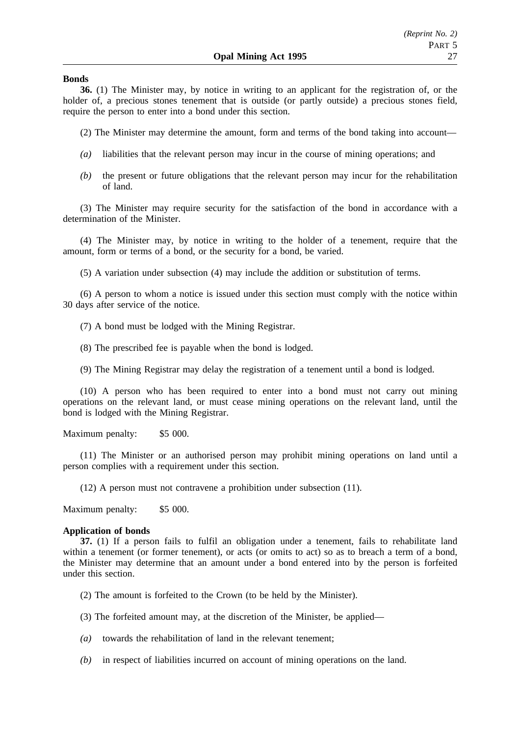### **Bonds**

**36.** (1) The Minister may, by notice in writing to an applicant for the registration of, or the holder of, a precious stones tenement that is outside (or partly outside) a precious stones field, require the person to enter into a bond under this section.

(2) The Minister may determine the amount, form and terms of the bond taking into account—

- *(a)* liabilities that the relevant person may incur in the course of mining operations; and
- *(b)* the present or future obligations that the relevant person may incur for the rehabilitation of land.

(3) The Minister may require security for the satisfaction of the bond in accordance with a determination of the Minister.

(4) The Minister may, by notice in writing to the holder of a tenement, require that the amount, form or terms of a bond, or the security for a bond, be varied.

(5) A variation under subsection (4) may include the addition or substitution of terms.

(6) A person to whom a notice is issued under this section must comply with the notice within 30 days after service of the notice.

(7) A bond must be lodged with the Mining Registrar.

(8) The prescribed fee is payable when the bond is lodged.

(9) The Mining Registrar may delay the registration of a tenement until a bond is lodged.

(10) A person who has been required to enter into a bond must not carry out mining operations on the relevant land, or must cease mining operations on the relevant land, until the bond is lodged with the Mining Registrar.

Maximum penalty: \$5 000.

(11) The Minister or an authorised person may prohibit mining operations on land until a person complies with a requirement under this section.

(12) A person must not contravene a prohibition under subsection (11).

Maximum penalty: \$5 000.

#### **Application of bonds**

**37.** (1) If a person fails to fulfil an obligation under a tenement, fails to rehabilitate land within a tenement (or former tenement), or acts (or omits to act) so as to breach a term of a bond, the Minister may determine that an amount under a bond entered into by the person is forfeited under this section.

(2) The amount is forfeited to the Crown (to be held by the Minister).

(3) The forfeited amount may, at the discretion of the Minister, be applied—

- *(a)* towards the rehabilitation of land in the relevant tenement;
- *(b)* in respect of liabilities incurred on account of mining operations on the land.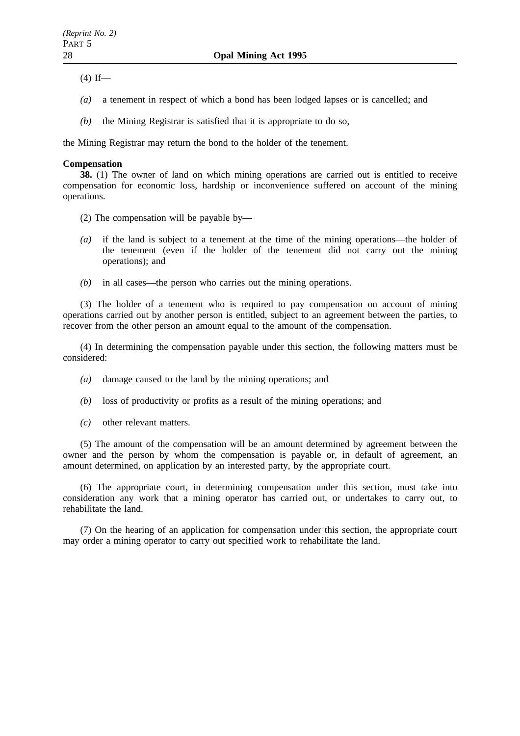$(4)$  If—

- *(a)* a tenement in respect of which a bond has been lodged lapses or is cancelled; and
- *(b)* the Mining Registrar is satisfied that it is appropriate to do so,

the Mining Registrar may return the bond to the holder of the tenement.

# **Compensation**

**38.** (1) The owner of land on which mining operations are carried out is entitled to receive compensation for economic loss, hardship or inconvenience suffered on account of the mining operations.

- (2) The compensation will be payable by—
- *(a)* if the land is subject to a tenement at the time of the mining operations—the holder of the tenement (even if the holder of the tenement did not carry out the mining operations); and
- *(b)* in all cases—the person who carries out the mining operations.

(3) The holder of a tenement who is required to pay compensation on account of mining operations carried out by another person is entitled, subject to an agreement between the parties, to recover from the other person an amount equal to the amount of the compensation.

(4) In determining the compensation payable under this section, the following matters must be considered:

- *(a)* damage caused to the land by the mining operations; and
- *(b)* loss of productivity or profits as a result of the mining operations; and
- *(c)* other relevant matters.

(5) The amount of the compensation will be an amount determined by agreement between the owner and the person by whom the compensation is payable or, in default of agreement, an amount determined, on application by an interested party, by the appropriate court.

(6) The appropriate court, in determining compensation under this section, must take into consideration any work that a mining operator has carried out, or undertakes to carry out, to rehabilitate the land.

(7) On the hearing of an application for compensation under this section, the appropriate court may order a mining operator to carry out specified work to rehabilitate the land.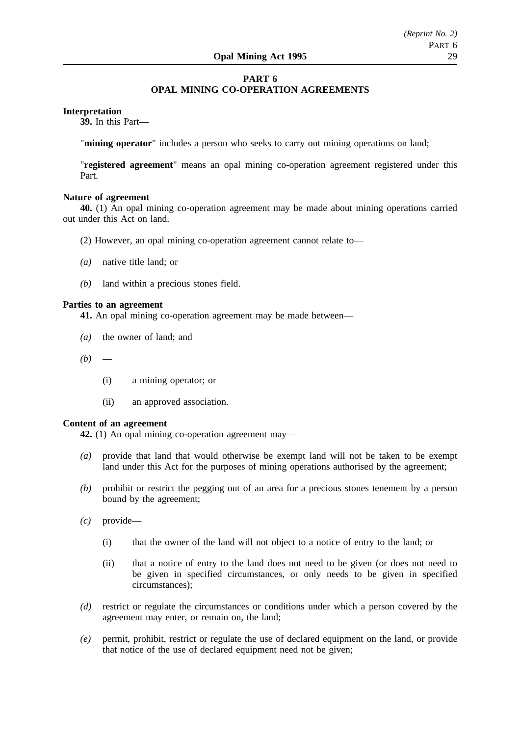# **PART 6 OPAL MINING CO-OPERATION AGREEMENTS**

# **Interpretation**

**39.** In this Part—

"**mining operator**" includes a person who seeks to carry out mining operations on land;

"**registered agreement**" means an opal mining co-operation agreement registered under this Part.

## **Nature of agreement**

**40.** (1) An opal mining co-operation agreement may be made about mining operations carried out under this Act on land.

- (2) However, an opal mining co-operation agreement cannot relate to—
- *(a)* native title land; or
- *(b)* land within a precious stones field.

# **Parties to an agreement**

**41.** An opal mining co-operation agreement may be made between—

- *(a)* the owner of land; and
- $(b)$ 
	- (i) a mining operator; or
	- (ii) an approved association.

#### **Content of an agreement**

**42.** (1) An opal mining co-operation agreement may—

- *(a)* provide that land that would otherwise be exempt land will not be taken to be exempt land under this Act for the purposes of mining operations authorised by the agreement;
- *(b)* prohibit or restrict the pegging out of an area for a precious stones tenement by a person bound by the agreement;
- *(c)* provide—
	- (i) that the owner of the land will not object to a notice of entry to the land; or
	- (ii) that a notice of entry to the land does not need to be given (or does not need to be given in specified circumstances, or only needs to be given in specified circumstances);
- *(d)* restrict or regulate the circumstances or conditions under which a person covered by the agreement may enter, or remain on, the land;
- *(e)* permit, prohibit, restrict or regulate the use of declared equipment on the land, or provide that notice of the use of declared equipment need not be given;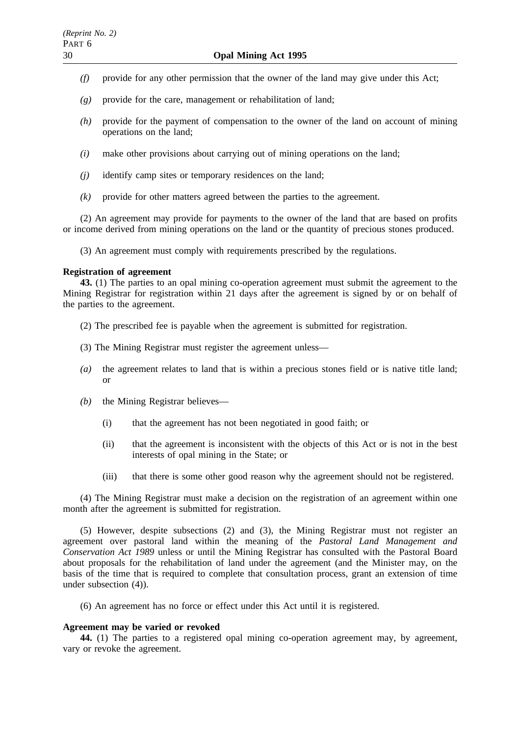- *(f)* provide for any other permission that the owner of the land may give under this Act;
- *(g)* provide for the care, management or rehabilitation of land;
- *(h)* provide for the payment of compensation to the owner of the land on account of mining operations on the land;
- *(i)* make other provisions about carrying out of mining operations on the land;
- *(j)* identify camp sites or temporary residences on the land;
- *(k)* provide for other matters agreed between the parties to the agreement.

(2) An agreement may provide for payments to the owner of the land that are based on profits or income derived from mining operations on the land or the quantity of precious stones produced.

(3) An agreement must comply with requirements prescribed by the regulations.

# **Registration of agreement**

**43.** (1) The parties to an opal mining co-operation agreement must submit the agreement to the Mining Registrar for registration within 21 days after the agreement is signed by or on behalf of the parties to the agreement.

- (2) The prescribed fee is payable when the agreement is submitted for registration.
- (3) The Mining Registrar must register the agreement unless—
- *(a)* the agreement relates to land that is within a precious stones field or is native title land; or
- *(b)* the Mining Registrar believes—
	- (i) that the agreement has not been negotiated in good faith; or
	- (ii) that the agreement is inconsistent with the objects of this Act or is not in the best interests of opal mining in the State; or
	- (iii) that there is some other good reason why the agreement should not be registered.

(4) The Mining Registrar must make a decision on the registration of an agreement within one month after the agreement is submitted for registration.

(5) However, despite subsections (2) and (3), the Mining Registrar must not register an agreement over pastoral land within the meaning of the *Pastoral Land Management and Conservation Act 1989* unless or until the Mining Registrar has consulted with the Pastoral Board about proposals for the rehabilitation of land under the agreement (and the Minister may, on the basis of the time that is required to complete that consultation process, grant an extension of time under subsection (4)).

(6) An agreement has no force or effect under this Act until it is registered.

# **Agreement may be varied or revoked**

**44.** (1) The parties to a registered opal mining co-operation agreement may, by agreement, vary or revoke the agreement.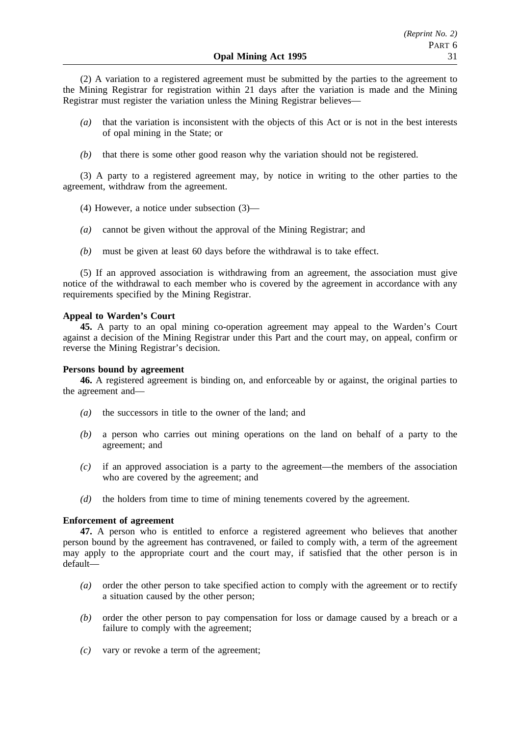(2) A variation to a registered agreement must be submitted by the parties to the agreement to the Mining Registrar for registration within 21 days after the variation is made and the Mining Registrar must register the variation unless the Mining Registrar believes—

- *(a)* that the variation is inconsistent with the objects of this Act or is not in the best interests of opal mining in the State; or
- *(b)* that there is some other good reason why the variation should not be registered.

(3) A party to a registered agreement may, by notice in writing to the other parties to the agreement, withdraw from the agreement.

- (4) However, a notice under subsection (3)—
- *(a)* cannot be given without the approval of the Mining Registrar; and
- *(b)* must be given at least 60 days before the withdrawal is to take effect.

(5) If an approved association is withdrawing from an agreement, the association must give notice of the withdrawal to each member who is covered by the agreement in accordance with any requirements specified by the Mining Registrar.

# **Appeal to Warden's Court**

**45.** A party to an opal mining co-operation agreement may appeal to the Warden's Court against a decision of the Mining Registrar under this Part and the court may, on appeal, confirm or reverse the Mining Registrar's decision.

# **Persons bound by agreement**

**46.** A registered agreement is binding on, and enforceable by or against, the original parties to the agreement and—

- *(a)* the successors in title to the owner of the land; and
- *(b)* a person who carries out mining operations on the land on behalf of a party to the agreement; and
- *(c)* if an approved association is a party to the agreement—the members of the association who are covered by the agreement; and
- *(d)* the holders from time to time of mining tenements covered by the agreement.

# **Enforcement of agreement**

**47.** A person who is entitled to enforce a registered agreement who believes that another person bound by the agreement has contravened, or failed to comply with, a term of the agreement may apply to the appropriate court and the court may, if satisfied that the other person is in default—

- *(a)* order the other person to take specified action to comply with the agreement or to rectify a situation caused by the other person;
- *(b)* order the other person to pay compensation for loss or damage caused by a breach or a failure to comply with the agreement;
- *(c)* vary or revoke a term of the agreement;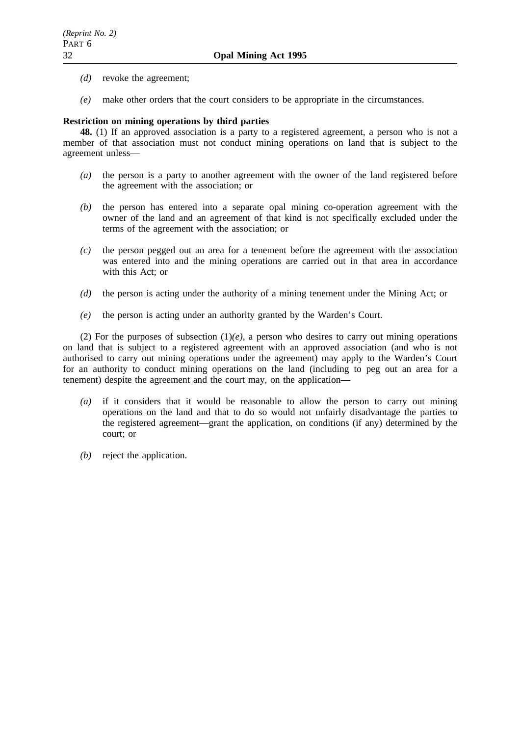- *(d)* revoke the agreement;
- *(e)* make other orders that the court considers to be appropriate in the circumstances.

# **Restriction on mining operations by third parties**

**48.** (1) If an approved association is a party to a registered agreement, a person who is not a member of that association must not conduct mining operations on land that is subject to the agreement unless—

- *(a)* the person is a party to another agreement with the owner of the land registered before the agreement with the association; or
- *(b)* the person has entered into a separate opal mining co-operation agreement with the owner of the land and an agreement of that kind is not specifically excluded under the terms of the agreement with the association; or
- *(c)* the person pegged out an area for a tenement before the agreement with the association was entered into and the mining operations are carried out in that area in accordance with this Act; or
- *(d)* the person is acting under the authority of a mining tenement under the Mining Act; or
- *(e)* the person is acting under an authority granted by the Warden's Court.

(2) For the purposes of subsection  $(1)(e)$ , a person who desires to carry out mining operations on land that is subject to a registered agreement with an approved association (and who is not authorised to carry out mining operations under the agreement) may apply to the Warden's Court for an authority to conduct mining operations on the land (including to peg out an area for a tenement) despite the agreement and the court may, on the application—

- *(a)* if it considers that it would be reasonable to allow the person to carry out mining operations on the land and that to do so would not unfairly disadvantage the parties to the registered agreement—grant the application, on conditions (if any) determined by the court; or
- *(b)* reject the application.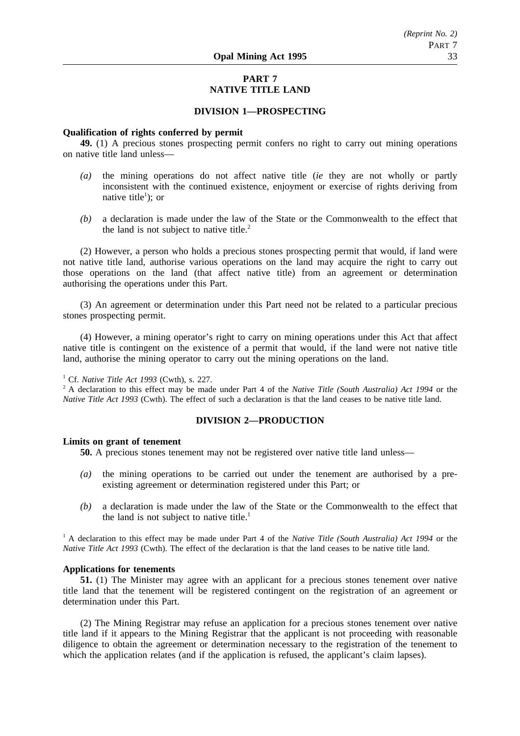# **PART 7 NATIVE TITLE LAND**

# **DIVISION 1—PROSPECTING**

## **Qualification of rights conferred by permit**

**49.** (1) A precious stones prospecting permit confers no right to carry out mining operations on native title land unless—

- *(a)* the mining operations do not affect native title (*ie* they are not wholly or partly inconsistent with the continued existence, enjoyment or exercise of rights deriving from native title<sup>1</sup>); or
- *(b)* a declaration is made under the law of the State or the Commonwealth to the effect that the land is not subject to native title.<sup>2</sup>

(2) However, a person who holds a precious stones prospecting permit that would, if land were not native title land, authorise various operations on the land may acquire the right to carry out those operations on the land (that affect native title) from an agreement or determination authorising the operations under this Part.

(3) An agreement or determination under this Part need not be related to a particular precious stones prospecting permit.

(4) However, a mining operator's right to carry on mining operations under this Act that affect native title is contingent on the existence of a permit that would, if the land were not native title land, authorise the mining operator to carry out the mining operations on the land.

# <sup>1</sup> Cf. *Native Title Act 1993* (Cwth), s. 227.

<sup>2</sup> A declaration to this effect may be made under Part 4 of the *Native Title (South Australia) Act 1994* or the *Native Title Act 1993* (Cwth). The effect of such a declaration is that the land ceases to be native title land.

# **DIVISION 2—PRODUCTION**

#### **Limits on grant of tenement**

**50.** A precious stones tenement may not be registered over native title land unless—

- *(a)* the mining operations to be carried out under the tenement are authorised by a preexisting agreement or determination registered under this Part; or
- *(b)* a declaration is made under the law of the State or the Commonwealth to the effect that the land is not subject to native title.<sup>1</sup>

<sup>1</sup> A declaration to this effect may be made under Part 4 of the *Native Title (South Australia) Act 1994* or the *Native Title Act 1993* (Cwth). The effect of the declaration is that the land ceases to be native title land.

### **Applications for tenements**

**51.** (1) The Minister may agree with an applicant for a precious stones tenement over native title land that the tenement will be registered contingent on the registration of an agreement or determination under this Part.

(2) The Mining Registrar may refuse an application for a precious stones tenement over native title land if it appears to the Mining Registrar that the applicant is not proceeding with reasonable diligence to obtain the agreement or determination necessary to the registration of the tenement to which the application relates (and if the application is refused, the applicant's claim lapses).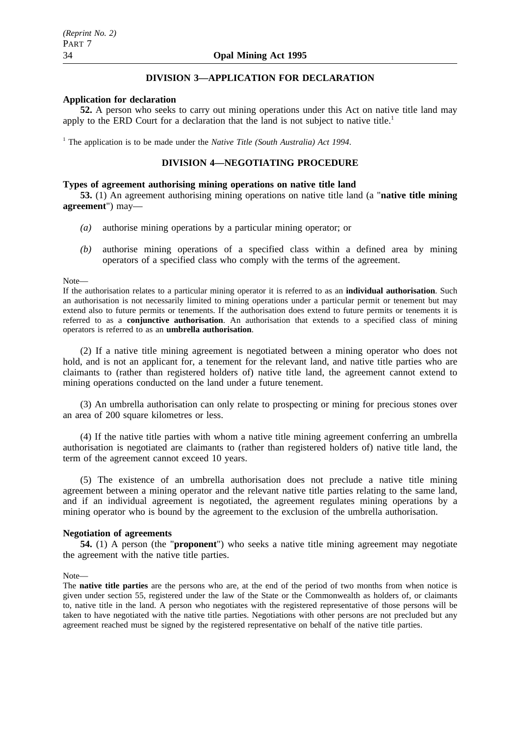# **DIVISION 3—APPLICATION FOR DECLARATION**

## **Application for declaration**

**52.** A person who seeks to carry out mining operations under this Act on native title land may apply to the ERD Court for a declaration that the land is not subject to native title.<sup>1</sup>

<sup>1</sup> The application is to be made under the *Native Title (South Australia) Act 1994*.

# **DIVISION 4—NEGOTIATING PROCEDURE**

## **Types of agreement authorising mining operations on native title land**

**53.** (1) An agreement authorising mining operations on native title land (a "**native title mining agreement**") may—

- *(a)* authorise mining operations by a particular mining operator; or
- *(b)* authorise mining operations of a specified class within a defined area by mining operators of a specified class who comply with the terms of the agreement.

#### Note—

If the authorisation relates to a particular mining operator it is referred to as an **individual authorisation**. Such an authorisation is not necessarily limited to mining operations under a particular permit or tenement but may extend also to future permits or tenements. If the authorisation does extend to future permits or tenements it is referred to as a **conjunctive authorisation**. An authorisation that extends to a specified class of mining operators is referred to as an **umbrella authorisation**.

(2) If a native title mining agreement is negotiated between a mining operator who does not hold, and is not an applicant for, a tenement for the relevant land, and native title parties who are claimants to (rather than registered holders of) native title land, the agreement cannot extend to mining operations conducted on the land under a future tenement.

(3) An umbrella authorisation can only relate to prospecting or mining for precious stones over an area of 200 square kilometres or less.

(4) If the native title parties with whom a native title mining agreement conferring an umbrella authorisation is negotiated are claimants to (rather than registered holders of) native title land, the term of the agreement cannot exceed 10 years.

(5) The existence of an umbrella authorisation does not preclude a native title mining agreement between a mining operator and the relevant native title parties relating to the same land, and if an individual agreement is negotiated, the agreement regulates mining operations by a mining operator who is bound by the agreement to the exclusion of the umbrella authorisation.

#### **Negotiation of agreements**

**54.** (1) A person (the "**proponent**") who seeks a native title mining agreement may negotiate the agreement with the native title parties.

#### Note—

The **native title parties** are the persons who are, at the end of the period of two months from when notice is given under section 55, registered under the law of the State or the Commonwealth as holders of, or claimants to, native title in the land. A person who negotiates with the registered representative of those persons will be taken to have negotiated with the native title parties. Negotiations with other persons are not precluded but any agreement reached must be signed by the registered representative on behalf of the native title parties.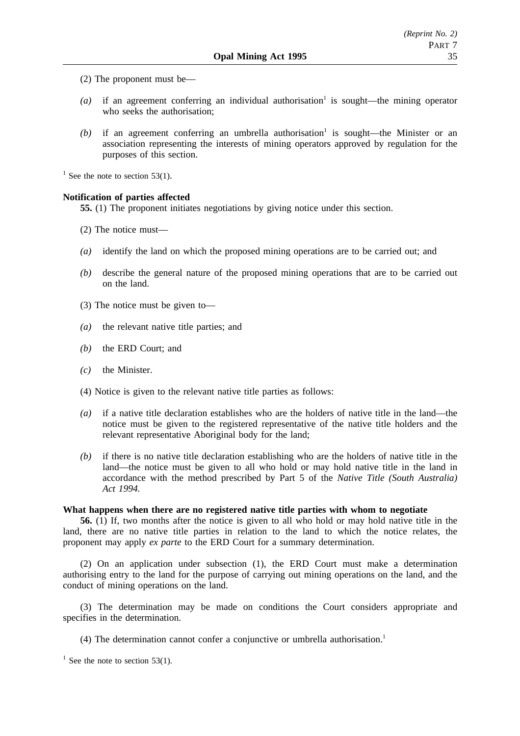- (2) The proponent must be—
- $(a)$  if an agreement conferring an individual authorisation<sup>1</sup> is sought—the mining operator who seeks the authorisation;
- $(b)$  if an agreement conferring an umbrella authorisation<sup>1</sup> is sought—the Minister or an association representing the interests of mining operators approved by regulation for the purposes of this section.

 $1$  See the note to section 53(1).

# **Notification of parties affected**

**55.** (1) The proponent initiates negotiations by giving notice under this section.

- (2) The notice must—
- *(a)* identify the land on which the proposed mining operations are to be carried out; and
- *(b)* describe the general nature of the proposed mining operations that are to be carried out on the land.
- (3) The notice must be given to—
- *(a)* the relevant native title parties; and
- *(b)* the ERD Court; and
- *(c)* the Minister.
- (4) Notice is given to the relevant native title parties as follows:
- *(a)* if a native title declaration establishes who are the holders of native title in the land—the notice must be given to the registered representative of the native title holders and the relevant representative Aboriginal body for the land;
- *(b)* if there is no native title declaration establishing who are the holders of native title in the land—the notice must be given to all who hold or may hold native title in the land in accordance with the method prescribed by Part 5 of the *Native Title (South Australia) Act 1994.*

#### **What happens when there are no registered native title parties with whom to negotiate**

**56.** (1) If, two months after the notice is given to all who hold or may hold native title in the land, there are no native title parties in relation to the land to which the notice relates, the proponent may apply *ex parte* to the ERD Court for a summary determination.

(2) On an application under subsection (1), the ERD Court must make a determination authorising entry to the land for the purpose of carrying out mining operations on the land, and the conduct of mining operations on the land.

(3) The determination may be made on conditions the Court considers appropriate and specifies in the determination.

(4) The determination cannot confer a conjunctive or umbrella authorisation.<sup>1</sup>

 $1$  See the note to section 53(1).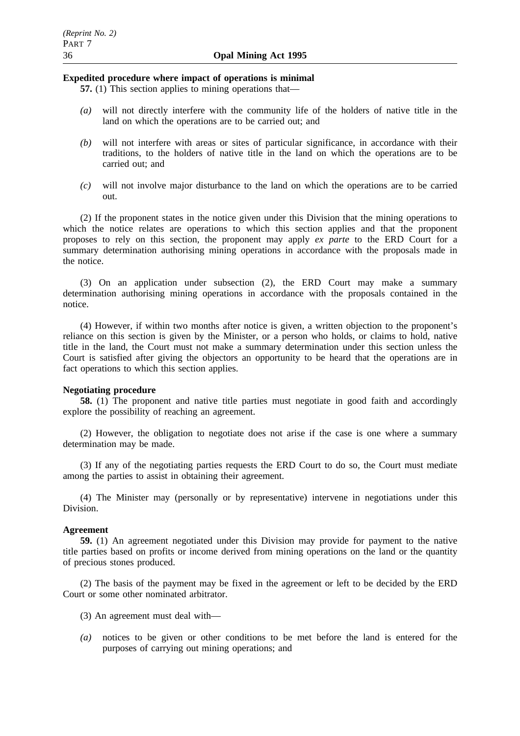### **Expedited procedure where impact of operations is minimal**

- **57.** (1) This section applies to mining operations that—
- *(a)* will not directly interfere with the community life of the holders of native title in the land on which the operations are to be carried out; and
- *(b)* will not interfere with areas or sites of particular significance, in accordance with their traditions, to the holders of native title in the land on which the operations are to be carried out; and
- *(c)* will not involve major disturbance to the land on which the operations are to be carried out.

(2) If the proponent states in the notice given under this Division that the mining operations to which the notice relates are operations to which this section applies and that the proponent proposes to rely on this section, the proponent may apply *ex parte* to the ERD Court for a summary determination authorising mining operations in accordance with the proposals made in the notice.

(3) On an application under subsection (2), the ERD Court may make a summary determination authorising mining operations in accordance with the proposals contained in the notice.

(4) However, if within two months after notice is given, a written objection to the proponent's reliance on this section is given by the Minister, or a person who holds, or claims to hold, native title in the land, the Court must not make a summary determination under this section unless the Court is satisfied after giving the objectors an opportunity to be heard that the operations are in fact operations to which this section applies.

#### **Negotiating procedure**

**58.** (1) The proponent and native title parties must negotiate in good faith and accordingly explore the possibility of reaching an agreement.

(2) However, the obligation to negotiate does not arise if the case is one where a summary determination may be made.

(3) If any of the negotiating parties requests the ERD Court to do so, the Court must mediate among the parties to assist in obtaining their agreement.

(4) The Minister may (personally or by representative) intervene in negotiations under this Division.

## **Agreement**

**59.** (1) An agreement negotiated under this Division may provide for payment to the native title parties based on profits or income derived from mining operations on the land or the quantity of precious stones produced.

(2) The basis of the payment may be fixed in the agreement or left to be decided by the ERD Court or some other nominated arbitrator.

- (3) An agreement must deal with—
- *(a)* notices to be given or other conditions to be met before the land is entered for the purposes of carrying out mining operations; and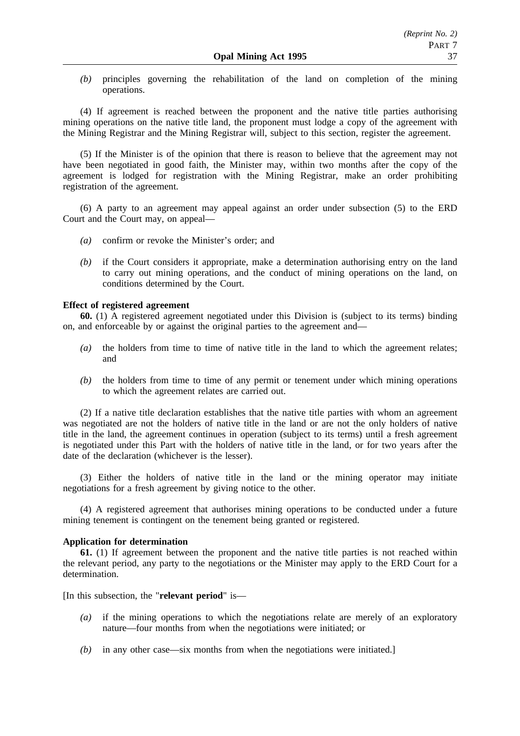*(b)* principles governing the rehabilitation of the land on completion of the mining operations.

(4) If agreement is reached between the proponent and the native title parties authorising mining operations on the native title land, the proponent must lodge a copy of the agreement with the Mining Registrar and the Mining Registrar will, subject to this section, register the agreement.

(5) If the Minister is of the opinion that there is reason to believe that the agreement may not have been negotiated in good faith, the Minister may, within two months after the copy of the agreement is lodged for registration with the Mining Registrar, make an order prohibiting registration of the agreement.

(6) A party to an agreement may appeal against an order under subsection (5) to the ERD Court and the Court may, on appeal—

- *(a)* confirm or revoke the Minister's order; and
- *(b)* if the Court considers it appropriate, make a determination authorising entry on the land to carry out mining operations, and the conduct of mining operations on the land, on conditions determined by the Court.

# **Effect of registered agreement**

**60.** (1) A registered agreement negotiated under this Division is (subject to its terms) binding on, and enforceable by or against the original parties to the agreement and—

- *(a)* the holders from time to time of native title in the land to which the agreement relates; and
- *(b)* the holders from time to time of any permit or tenement under which mining operations to which the agreement relates are carried out.

(2) If a native title declaration establishes that the native title parties with whom an agreement was negotiated are not the holders of native title in the land or are not the only holders of native title in the land, the agreement continues in operation (subject to its terms) until a fresh agreement is negotiated under this Part with the holders of native title in the land, or for two years after the date of the declaration (whichever is the lesser).

(3) Either the holders of native title in the land or the mining operator may initiate negotiations for a fresh agreement by giving notice to the other.

(4) A registered agreement that authorises mining operations to be conducted under a future mining tenement is contingent on the tenement being granted or registered.

# **Application for determination**

**61.** (1) If agreement between the proponent and the native title parties is not reached within the relevant period, any party to the negotiations or the Minister may apply to the ERD Court for a determination.

[In this subsection, the "**relevant period**" is—

- *(a)* if the mining operations to which the negotiations relate are merely of an exploratory nature—four months from when the negotiations were initiated; or
- *(b)* in any other case—six months from when the negotiations were initiated.]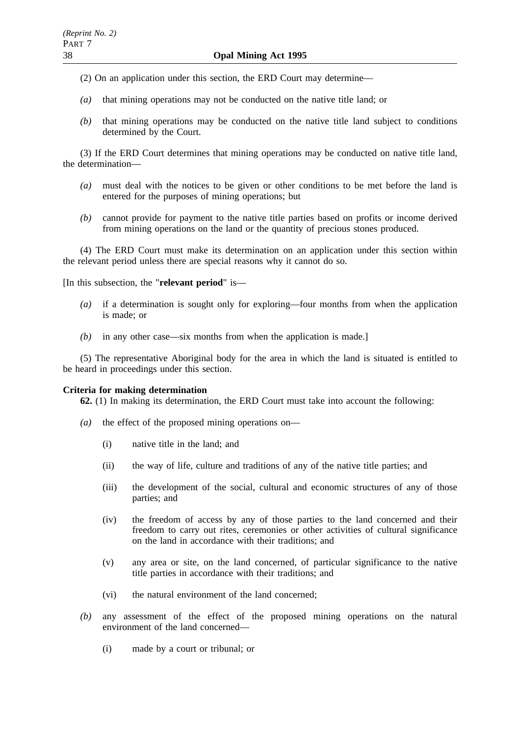(2) On an application under this section, the ERD Court may determine—

- *(a)* that mining operations may not be conducted on the native title land; or
- *(b)* that mining operations may be conducted on the native title land subject to conditions determined by the Court.

(3) If the ERD Court determines that mining operations may be conducted on native title land, the determination—

- *(a)* must deal with the notices to be given or other conditions to be met before the land is entered for the purposes of mining operations; but
- *(b)* cannot provide for payment to the native title parties based on profits or income derived from mining operations on the land or the quantity of precious stones produced.

(4) The ERD Court must make its determination on an application under this section within the relevant period unless there are special reasons why it cannot do so.

[In this subsection, the "**relevant period**" is—

- *(a)* if a determination is sought only for exploring—four months from when the application is made; or
- *(b)* in any other case—six months from when the application is made.]

(5) The representative Aboriginal body for the area in which the land is situated is entitled to be heard in proceedings under this section.

# **Criteria for making determination**

**62.** (1) In making its determination, the ERD Court must take into account the following:

- *(a)* the effect of the proposed mining operations on—
	- (i) native title in the land; and
	- (ii) the way of life, culture and traditions of any of the native title parties; and
	- (iii) the development of the social, cultural and economic structures of any of those parties; and
	- (iv) the freedom of access by any of those parties to the land concerned and their freedom to carry out rites, ceremonies or other activities of cultural significance on the land in accordance with their traditions; and
	- (v) any area or site, on the land concerned, of particular significance to the native title parties in accordance with their traditions; and
	- (vi) the natural environment of the land concerned;
- *(b)* any assessment of the effect of the proposed mining operations on the natural environment of the land concerned—
	- (i) made by a court or tribunal; or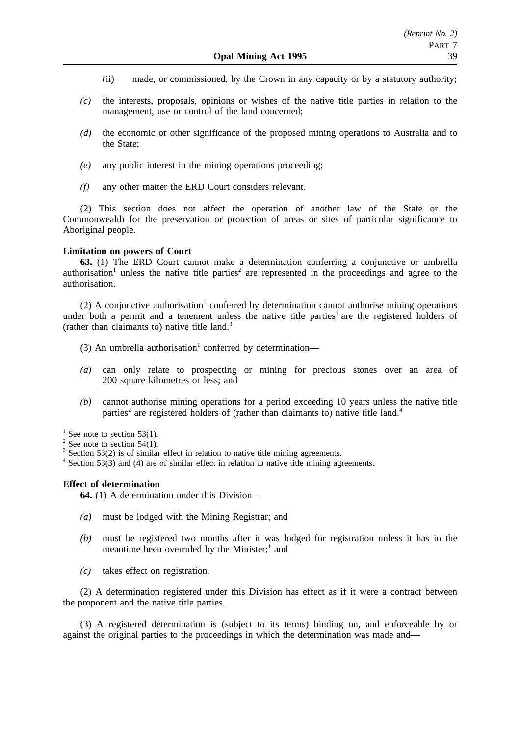- (ii) made, or commissioned, by the Crown in any capacity or by a statutory authority;
- *(c)* the interests, proposals, opinions or wishes of the native title parties in relation to the management, use or control of the land concerned;
- *(d)* the economic or other significance of the proposed mining operations to Australia and to the State;
- *(e)* any public interest in the mining operations proceeding;
- *(f)* any other matter the ERD Court considers relevant.

(2) This section does not affect the operation of another law of the State or the Commonwealth for the preservation or protection of areas or sites of particular significance to Aboriginal people.

# **Limitation on powers of Court**

**63.** (1) The ERD Court cannot make a determination conferring a conjunctive or umbrella authorisation<sup>1</sup> unless the native title parties<sup>2</sup> are represented in the proceedings and agree to the authorisation.

(2) A conjunctive authorisation<sup>1</sup> conferred by determination cannot authorise mining operations under both a permit and a tenement unless the native title parties<sup>1</sup> are the registered holders of (rather than claimants to) native title land.3

- (3) An umbrella authorisation<sup>1</sup> conferred by determination—
- *(a)* can only relate to prospecting or mining for precious stones over an area of 200 square kilometres or less; and
- *(b)* cannot authorise mining operations for a period exceeding 10 years unless the native title parties<sup>2</sup> are registered holders of (rather than claimants to) native title land.<sup>4</sup>

 $1$  See note to section 53(1).

 $2$  See note to section 54(1).

<sup>4</sup> Section 53(3) and (4) are of similar effect in relation to native title mining agreements.

# **Effect of determination**

**64.** (1) A determination under this Division—

- *(a)* must be lodged with the Mining Registrar; and
- *(b)* must be registered two months after it was lodged for registration unless it has in the meantime been overruled by the Minister; $<sup>1</sup>$  and</sup>
- *(c)* takes effect on registration.

(2) A determination registered under this Division has effect as if it were a contract between the proponent and the native title parties.

(3) A registered determination is (subject to its terms) binding on, and enforceable by or against the original parties to the proceedings in which the determination was made and—

Section 53(2) is of similar effect in relation to native title mining agreements.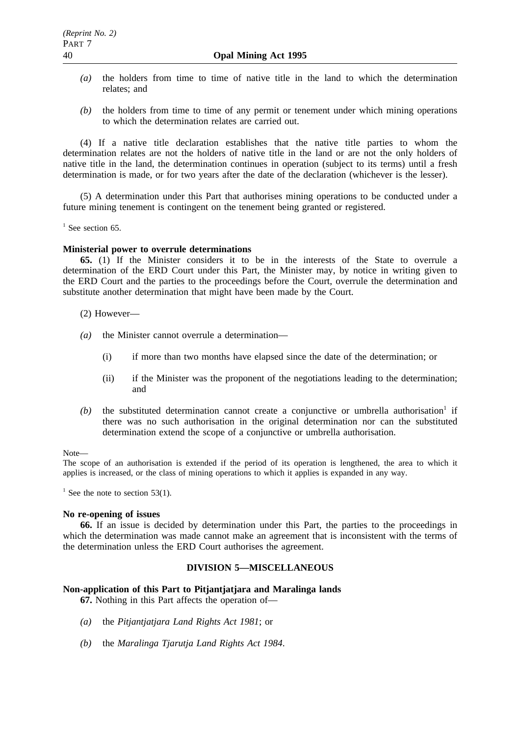- *(a)* the holders from time to time of native title in the land to which the determination relates; and
- *(b)* the holders from time to time of any permit or tenement under which mining operations to which the determination relates are carried out.

(4) If a native title declaration establishes that the native title parties to whom the determination relates are not the holders of native title in the land or are not the only holders of native title in the land, the determination continues in operation (subject to its terms) until a fresh determination is made, or for two years after the date of the declaration (whichever is the lesser).

(5) A determination under this Part that authorises mining operations to be conducted under a future mining tenement is contingent on the tenement being granted or registered.

 $<sup>1</sup>$  See section 65.</sup>

### **Ministerial power to overrule determinations**

**65.** (1) If the Minister considers it to be in the interests of the State to overrule a determination of the ERD Court under this Part, the Minister may, by notice in writing given to the ERD Court and the parties to the proceedings before the Court, overrule the determination and substitute another determination that might have been made by the Court.

(2) However—

- *(a)* the Minister cannot overrule a determination—
	- (i) if more than two months have elapsed since the date of the determination; or
	- (ii) if the Minister was the proponent of the negotiations leading to the determination; and
- $(b)$  the substituted determination cannot create a conjunctive or umbrella authorisation<sup>1</sup> if there was no such authorisation in the original determination nor can the substituted determination extend the scope of a conjunctive or umbrella authorisation.

Note—

The scope of an authorisation is extended if the period of its operation is lengthened, the area to which it applies is increased, or the class of mining operations to which it applies is expanded in any way.

<sup>1</sup> See the note to section 53(1).

### **No re-opening of issues**

**66.** If an issue is decided by determination under this Part, the parties to the proceedings in which the determination was made cannot make an agreement that is inconsistent with the terms of the determination unless the ERD Court authorises the agreement.

# **DIVISION 5—MISCELLANEOUS**

### **Non-application of this Part to Pitjantjatjara and Maralinga lands**

**67.** Nothing in this Part affects the operation of—

- *(a)* the *Pitjantjatjara Land Rights Act 1981*; or
- *(b)* the *Maralinga Tjarutja Land Rights Act 1984*.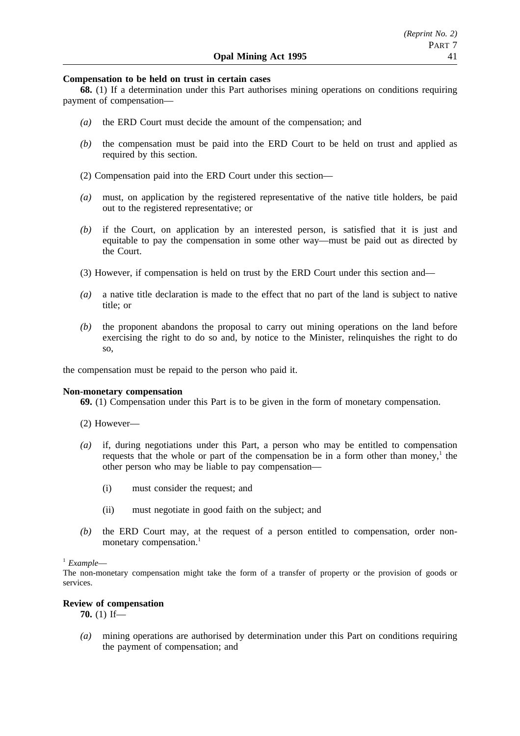# **Compensation to be held on trust in certain cases**

**68.** (1) If a determination under this Part authorises mining operations on conditions requiring payment of compensation—

- *(a)* the ERD Court must decide the amount of the compensation; and
- *(b)* the compensation must be paid into the ERD Court to be held on trust and applied as required by this section.
- (2) Compensation paid into the ERD Court under this section—
- *(a)* must, on application by the registered representative of the native title holders, be paid out to the registered representative; or
- *(b)* if the Court, on application by an interested person, is satisfied that it is just and equitable to pay the compensation in some other way—must be paid out as directed by the Court.
- (3) However, if compensation is held on trust by the ERD Court under this section and—
- *(a)* a native title declaration is made to the effect that no part of the land is subject to native title; or
- *(b)* the proponent abandons the proposal to carry out mining operations on the land before exercising the right to do so and, by notice to the Minister, relinquishes the right to do so,

the compensation must be repaid to the person who paid it.

#### **Non-monetary compensation**

**69.** (1) Compensation under this Part is to be given in the form of monetary compensation.

- (2) However—
- *(a)* if, during negotiations under this Part, a person who may be entitled to compensation requests that the whole or part of the compensation be in a form other than money, $<sup>1</sup>$  the</sup> other person who may be liable to pay compensation—
	- (i) must consider the request; and
	- (ii) must negotiate in good faith on the subject; and
- *(b)* the ERD Court may, at the request of a person entitled to compensation, order nonmonetary compensation.<sup>1</sup>

# <sup>1</sup> *Example*—

The non-monetary compensation might take the form of a transfer of property or the provision of goods or services.

## **Review of compensation**

**70.** (1) If—

*(a)* mining operations are authorised by determination under this Part on conditions requiring the payment of compensation; and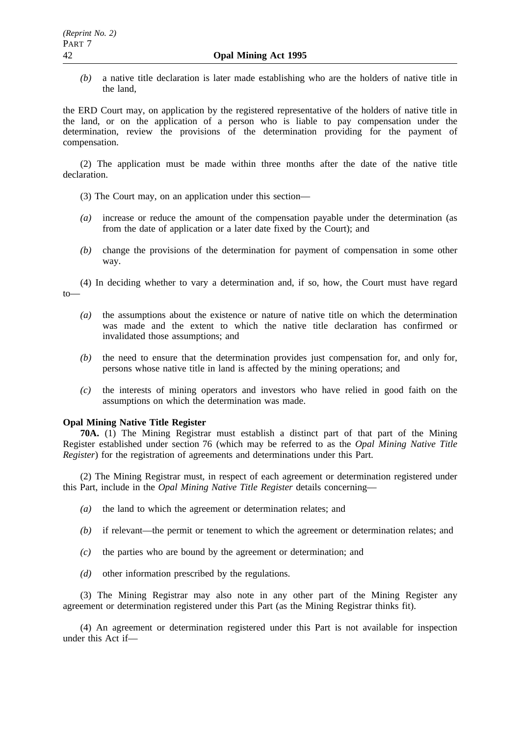*(b)* a native title declaration is later made establishing who are the holders of native title in the land,

the ERD Court may, on application by the registered representative of the holders of native title in the land, or on the application of a person who is liable to pay compensation under the determination, review the provisions of the determination providing for the payment of compensation.

(2) The application must be made within three months after the date of the native title declaration.

- (3) The Court may, on an application under this section—
- *(a)* increase or reduce the amount of the compensation payable under the determination (as from the date of application or a later date fixed by the Court); and
- *(b)* change the provisions of the determination for payment of compensation in some other way.

(4) In deciding whether to vary a determination and, if so, how, the Court must have regard to—

- *(a)* the assumptions about the existence or nature of native title on which the determination was made and the extent to which the native title declaration has confirmed or invalidated those assumptions; and
- *(b)* the need to ensure that the determination provides just compensation for, and only for, persons whose native title in land is affected by the mining operations; and
- *(c)* the interests of mining operators and investors who have relied in good faith on the assumptions on which the determination was made.

# **Opal Mining Native Title Register**

**70A.** (1) The Mining Registrar must establish a distinct part of that part of the Mining Register established under section 76 (which may be referred to as the *Opal Mining Native Title Register*) for the registration of agreements and determinations under this Part.

(2) The Mining Registrar must, in respect of each agreement or determination registered under this Part, include in the *Opal Mining Native Title Register* details concerning—

- *(a)* the land to which the agreement or determination relates; and
- *(b)* if relevant—the permit or tenement to which the agreement or determination relates; and
- *(c)* the parties who are bound by the agreement or determination; and
- *(d)* other information prescribed by the regulations.

(3) The Mining Registrar may also note in any other part of the Mining Register any agreement or determination registered under this Part (as the Mining Registrar thinks fit).

(4) An agreement or determination registered under this Part is not available for inspection under this Act if—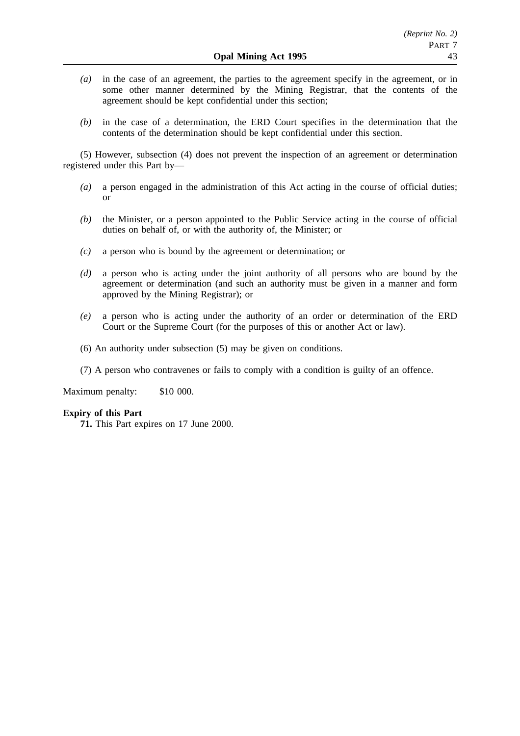- *(a)* in the case of an agreement, the parties to the agreement specify in the agreement, or in some other manner determined by the Mining Registrar, that the contents of the agreement should be kept confidential under this section;
- *(b)* in the case of a determination, the ERD Court specifies in the determination that the contents of the determination should be kept confidential under this section.

(5) However, subsection (4) does not prevent the inspection of an agreement or determination registered under this Part by—

- *(a)* a person engaged in the administration of this Act acting in the course of official duties; or
- *(b)* the Minister, or a person appointed to the Public Service acting in the course of official duties on behalf of, or with the authority of, the Minister; or
- *(c)* a person who is bound by the agreement or determination; or
- *(d)* a person who is acting under the joint authority of all persons who are bound by the agreement or determination (and such an authority must be given in a manner and form approved by the Mining Registrar); or
- *(e)* a person who is acting under the authority of an order or determination of the ERD Court or the Supreme Court (for the purposes of this or another Act or law).
- (6) An authority under subsection (5) may be given on conditions.
- (7) A person who contravenes or fails to comply with a condition is guilty of an offence.

Maximum penalty: \$10 000.

## **Expiry of this Part**

**71.** This Part expires on 17 June 2000.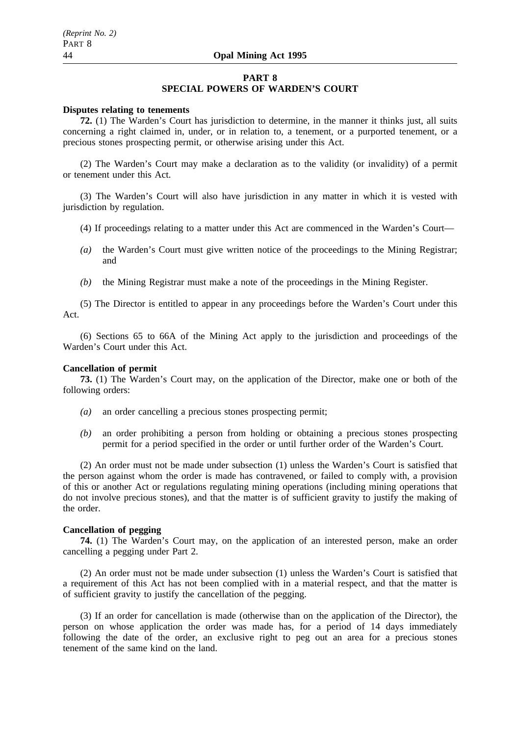# **PART 8**

# **SPECIAL POWERS OF WARDEN'S COURT**

## **Disputes relating to tenements**

**72.** (1) The Warden's Court has jurisdiction to determine, in the manner it thinks just, all suits concerning a right claimed in, under, or in relation to, a tenement, or a purported tenement, or a precious stones prospecting permit, or otherwise arising under this Act.

(2) The Warden's Court may make a declaration as to the validity (or invalidity) of a permit or tenement under this Act.

(3) The Warden's Court will also have jurisdiction in any matter in which it is vested with jurisdiction by regulation.

- (4) If proceedings relating to a matter under this Act are commenced in the Warden's Court—
- *(a)* the Warden's Court must give written notice of the proceedings to the Mining Registrar; and
- *(b)* the Mining Registrar must make a note of the proceedings in the Mining Register.

(5) The Director is entitled to appear in any proceedings before the Warden's Court under this Act.

(6) Sections 65 to 66A of the Mining Act apply to the jurisdiction and proceedings of the Warden's Court under this Act.

## **Cancellation of permit**

**73.** (1) The Warden's Court may, on the application of the Director, make one or both of the following orders:

- *(a)* an order cancelling a precious stones prospecting permit;
- *(b)* an order prohibiting a person from holding or obtaining a precious stones prospecting permit for a period specified in the order or until further order of the Warden's Court.

(2) An order must not be made under subsection (1) unless the Warden's Court is satisfied that the person against whom the order is made has contravened, or failed to comply with, a provision of this or another Act or regulations regulating mining operations (including mining operations that do not involve precious stones), and that the matter is of sufficient gravity to justify the making of the order.

# **Cancellation of pegging**

**74.** (1) The Warden's Court may, on the application of an interested person, make an order cancelling a pegging under Part 2.

(2) An order must not be made under subsection (1) unless the Warden's Court is satisfied that a requirement of this Act has not been complied with in a material respect, and that the matter is of sufficient gravity to justify the cancellation of the pegging.

(3) If an order for cancellation is made (otherwise than on the application of the Director), the person on whose application the order was made has, for a period of 14 days immediately following the date of the order, an exclusive right to peg out an area for a precious stones tenement of the same kind on the land.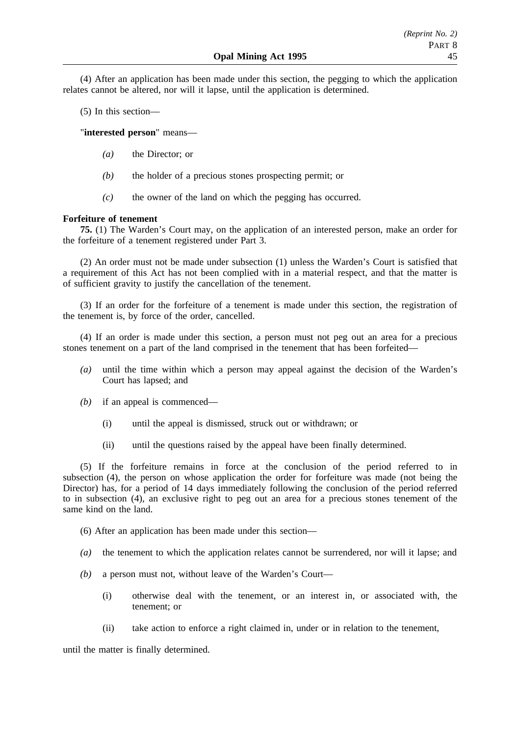(4) After an application has been made under this section, the pegging to which the application relates cannot be altered, nor will it lapse, until the application is determined.

(5) In this section—

"**interested person**" means—

- *(a)* the Director; or
- *(b)* the holder of a precious stones prospecting permit; or
- *(c)* the owner of the land on which the pegging has occurred.

# **Forfeiture of tenement**

**75.** (1) The Warden's Court may, on the application of an interested person, make an order for the forfeiture of a tenement registered under Part 3.

(2) An order must not be made under subsection (1) unless the Warden's Court is satisfied that a requirement of this Act has not been complied with in a material respect, and that the matter is of sufficient gravity to justify the cancellation of the tenement.

(3) If an order for the forfeiture of a tenement is made under this section, the registration of the tenement is, by force of the order, cancelled.

(4) If an order is made under this section, a person must not peg out an area for a precious stones tenement on a part of the land comprised in the tenement that has been forfeited—

- *(a)* until the time within which a person may appeal against the decision of the Warden's Court has lapsed; and
- *(b)* if an appeal is commenced—
	- (i) until the appeal is dismissed, struck out or withdrawn; or
	- (ii) until the questions raised by the appeal have been finally determined.

(5) If the forfeiture remains in force at the conclusion of the period referred to in subsection (4), the person on whose application the order for forfeiture was made (not being the Director) has, for a period of 14 days immediately following the conclusion of the period referred to in subsection (4), an exclusive right to peg out an area for a precious stones tenement of the same kind on the land.

(6) After an application has been made under this section—

- *(a)* the tenement to which the application relates cannot be surrendered, nor will it lapse; and
- *(b)* a person must not, without leave of the Warden's Court—
	- (i) otherwise deal with the tenement, or an interest in, or associated with, the tenement; or
	- (ii) take action to enforce a right claimed in, under or in relation to the tenement,

until the matter is finally determined.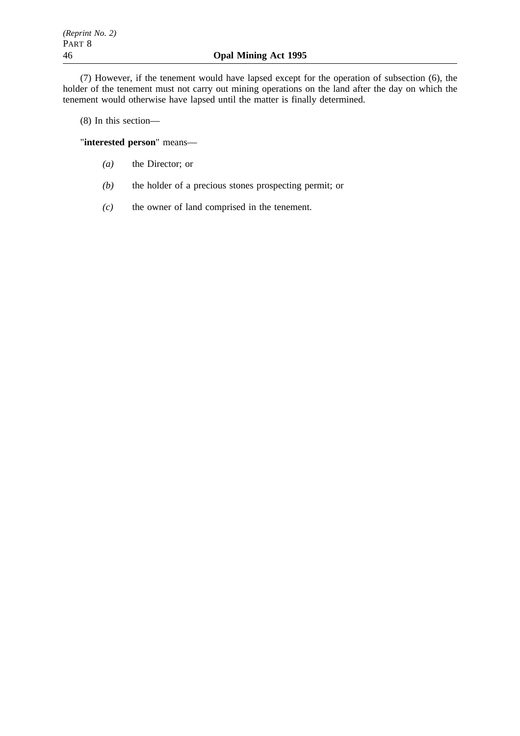(7) However, if the tenement would have lapsed except for the operation of subsection (6), the holder of the tenement must not carry out mining operations on the land after the day on which the tenement would otherwise have lapsed until the matter is finally determined.

(8) In this section—

"**interested person**" means—

- *(a)* the Director; or
- *(b)* the holder of a precious stones prospecting permit; or
- *(c)* the owner of land comprised in the tenement.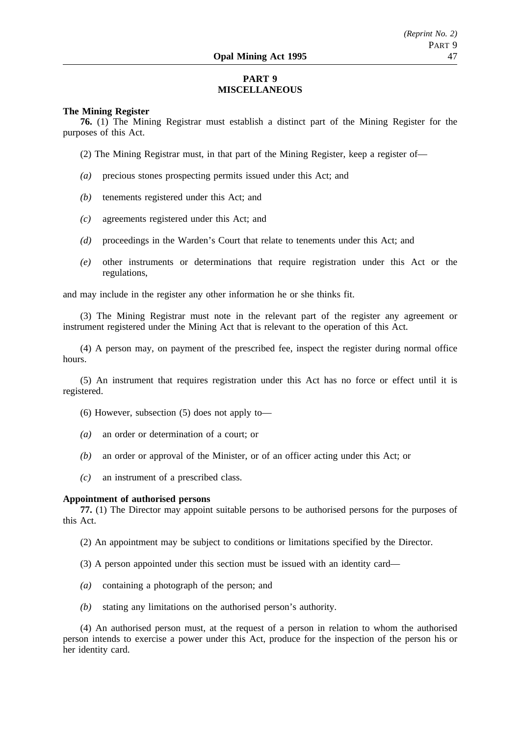# **PART 9 MISCELLANEOUS**

### **The Mining Register**

**76.** (1) The Mining Registrar must establish a distinct part of the Mining Register for the purposes of this Act.

(2) The Mining Registrar must, in that part of the Mining Register, keep a register of—

- *(a)* precious stones prospecting permits issued under this Act; and
- *(b)* tenements registered under this Act; and
- *(c)* agreements registered under this Act; and
- *(d)* proceedings in the Warden's Court that relate to tenements under this Act; and
- *(e)* other instruments or determinations that require registration under this Act or the regulations,

and may include in the register any other information he or she thinks fit.

(3) The Mining Registrar must note in the relevant part of the register any agreement or instrument registered under the Mining Act that is relevant to the operation of this Act.

(4) A person may, on payment of the prescribed fee, inspect the register during normal office hours.

(5) An instrument that requires registration under this Act has no force or effect until it is registered.

- (6) However, subsection (5) does not apply to—
- *(a)* an order or determination of a court; or
- *(b)* an order or approval of the Minister, or of an officer acting under this Act; or
- *(c)* an instrument of a prescribed class.

#### **Appointment of authorised persons**

**77.** (1) The Director may appoint suitable persons to be authorised persons for the purposes of this Act.

(2) An appointment may be subject to conditions or limitations specified by the Director.

- (3) A person appointed under this section must be issued with an identity card—
- *(a)* containing a photograph of the person; and
- *(b)* stating any limitations on the authorised person's authority.

(4) An authorised person must, at the request of a person in relation to whom the authorised person intends to exercise a power under this Act, produce for the inspection of the person his or her identity card.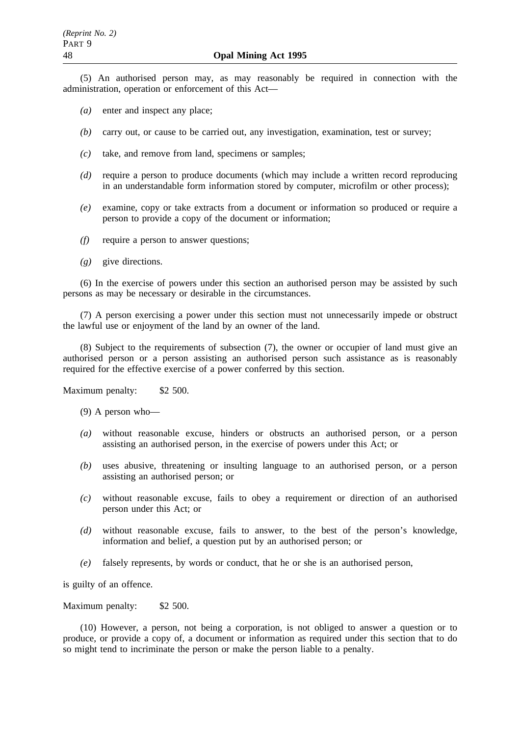(5) An authorised person may, as may reasonably be required in connection with the administration, operation or enforcement of this Act—

- *(a)* enter and inspect any place;
- *(b)* carry out, or cause to be carried out, any investigation, examination, test or survey;
- *(c)* take, and remove from land, specimens or samples;
- *(d)* require a person to produce documents (which may include a written record reproducing in an understandable form information stored by computer, microfilm or other process);
- *(e)* examine, copy or take extracts from a document or information so produced or require a person to provide a copy of the document or information;
- *(f)* require a person to answer questions;
- *(g)* give directions.

(6) In the exercise of powers under this section an authorised person may be assisted by such persons as may be necessary or desirable in the circumstances.

(7) A person exercising a power under this section must not unnecessarily impede or obstruct the lawful use or enjoyment of the land by an owner of the land.

(8) Subject to the requirements of subsection (7), the owner or occupier of land must give an authorised person or a person assisting an authorised person such assistance as is reasonably required for the effective exercise of a power conferred by this section.

Maximum penalty: \$2 500.

- (9) A person who—
- *(a)* without reasonable excuse, hinders or obstructs an authorised person, or a person assisting an authorised person, in the exercise of powers under this Act; or
- *(b)* uses abusive, threatening or insulting language to an authorised person, or a person assisting an authorised person; or
- *(c)* without reasonable excuse, fails to obey a requirement or direction of an authorised person under this Act; or
- *(d)* without reasonable excuse, fails to answer, to the best of the person's knowledge, information and belief, a question put by an authorised person; or
- *(e)* falsely represents, by words or conduct, that he or she is an authorised person,

is guilty of an offence.

Maximum penalty: \$2 500.

(10) However, a person, not being a corporation, is not obliged to answer a question or to produce, or provide a copy of, a document or information as required under this section that to do so might tend to incriminate the person or make the person liable to a penalty.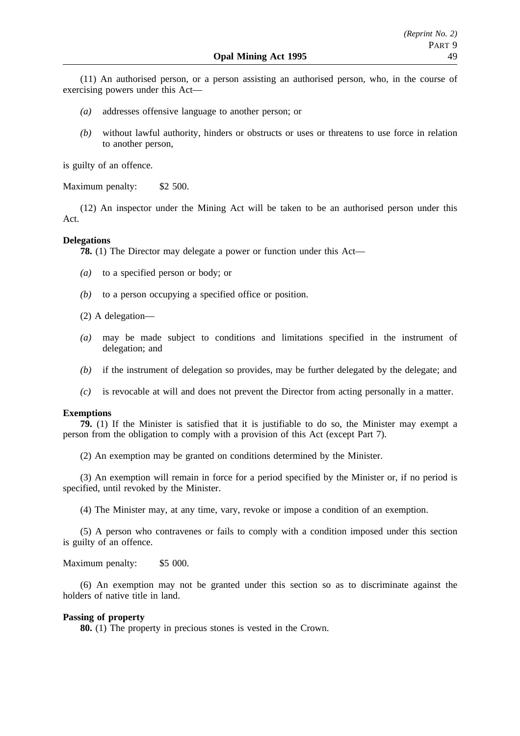(11) An authorised person, or a person assisting an authorised person, who, in the course of exercising powers under this Act—

- *(a)* addresses offensive language to another person; or
- *(b)* without lawful authority, hinders or obstructs or uses or threatens to use force in relation to another person,

is guilty of an offence.

Maximum penalty: \$2 500.

(12) An inspector under the Mining Act will be taken to be an authorised person under this Act.

### **Delegations**

**78.** (1) The Director may delegate a power or function under this Act—

- *(a)* to a specified person or body; or
- *(b)* to a person occupying a specified office or position.
- (2) A delegation—
- *(a)* may be made subject to conditions and limitations specified in the instrument of delegation; and
- *(b)* if the instrument of delegation so provides, may be further delegated by the delegate; and
- *(c)* is revocable at will and does not prevent the Director from acting personally in a matter.

### **Exemptions**

**79.** (1) If the Minister is satisfied that it is justifiable to do so, the Minister may exempt a person from the obligation to comply with a provision of this Act (except Part 7).

(2) An exemption may be granted on conditions determined by the Minister.

(3) An exemption will remain in force for a period specified by the Minister or, if no period is specified, until revoked by the Minister.

(4) The Minister may, at any time, vary, revoke or impose a condition of an exemption.

(5) A person who contravenes or fails to comply with a condition imposed under this section is guilty of an offence.

#### Maximum penalty: \$5 000.

(6) An exemption may not be granted under this section so as to discriminate against the holders of native title in land.

#### **Passing of property**

**80.** (1) The property in precious stones is vested in the Crown.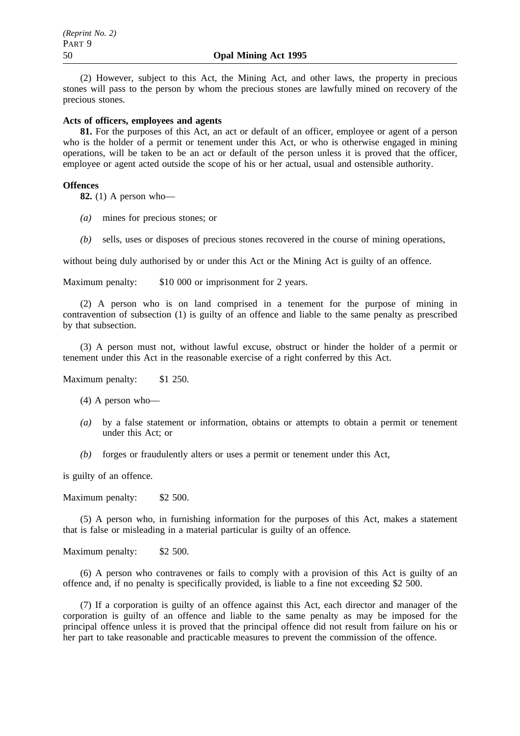(2) However, subject to this Act, the Mining Act, and other laws, the property in precious stones will pass to the person by whom the precious stones are lawfully mined on recovery of the precious stones.

# **Acts of officers, employees and agents**

**81.** For the purposes of this Act, an act or default of an officer, employee or agent of a person who is the holder of a permit or tenement under this Act, or who is otherwise engaged in mining operations, will be taken to be an act or default of the person unless it is proved that the officer, employee or agent acted outside the scope of his or her actual, usual and ostensible authority.

## **Offences**

**82.** (1) A person who—

- *(a)* mines for precious stones; or
- *(b)* sells, uses or disposes of precious stones recovered in the course of mining operations,

without being duly authorised by or under this Act or the Mining Act is guilty of an offence.

Maximum penalty: \$10 000 or imprisonment for 2 years.

(2) A person who is on land comprised in a tenement for the purpose of mining in contravention of subsection (1) is guilty of an offence and liable to the same penalty as prescribed by that subsection.

(3) A person must not, without lawful excuse, obstruct or hinder the holder of a permit or tenement under this Act in the reasonable exercise of a right conferred by this Act.

Maximum penalty: \$1 250.

- (4) A person who—
- *(a)* by a false statement or information, obtains or attempts to obtain a permit or tenement under this Act; or
- *(b)* forges or fraudulently alters or uses a permit or tenement under this Act,

is guilty of an offence.

Maximum penalty: \$2 500.

(5) A person who, in furnishing information for the purposes of this Act, makes a statement that is false or misleading in a material particular is guilty of an offence.

Maximum penalty: \$2 500.

(6) A person who contravenes or fails to comply with a provision of this Act is guilty of an offence and, if no penalty is specifically provided, is liable to a fine not exceeding \$2 500.

(7) If a corporation is guilty of an offence against this Act, each director and manager of the corporation is guilty of an offence and liable to the same penalty as may be imposed for the principal offence unless it is proved that the principal offence did not result from failure on his or her part to take reasonable and practicable measures to prevent the commission of the offence.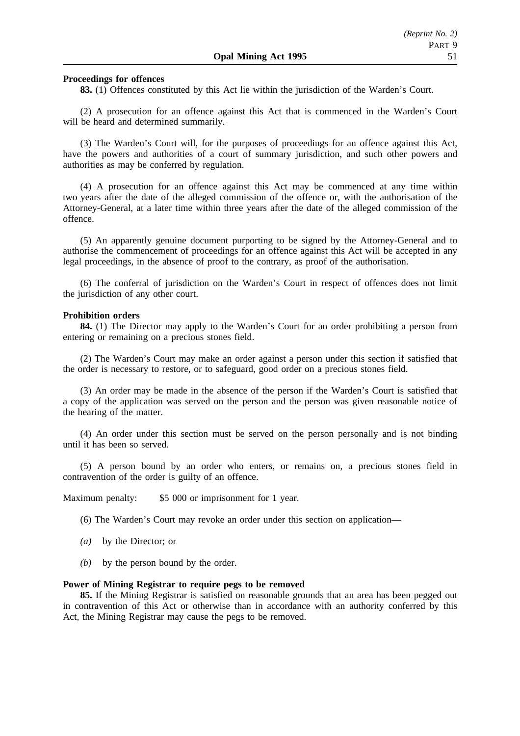## **Proceedings for offences**

**83.** (1) Offences constituted by this Act lie within the jurisdiction of the Warden's Court.

(2) A prosecution for an offence against this Act that is commenced in the Warden's Court will be heard and determined summarily.

(3) The Warden's Court will, for the purposes of proceedings for an offence against this Act, have the powers and authorities of a court of summary jurisdiction, and such other powers and authorities as may be conferred by regulation.

(4) A prosecution for an offence against this Act may be commenced at any time within two years after the date of the alleged commission of the offence or, with the authorisation of the Attorney-General, at a later time within three years after the date of the alleged commission of the offence.

(5) An apparently genuine document purporting to be signed by the Attorney-General and to authorise the commencement of proceedings for an offence against this Act will be accepted in any legal proceedings, in the absence of proof to the contrary, as proof of the authorisation.

(6) The conferral of jurisdiction on the Warden's Court in respect of offences does not limit the jurisdiction of any other court.

#### **Prohibition orders**

**84.** (1) The Director may apply to the Warden's Court for an order prohibiting a person from entering or remaining on a precious stones field.

(2) The Warden's Court may make an order against a person under this section if satisfied that the order is necessary to restore, or to safeguard, good order on a precious stones field.

(3) An order may be made in the absence of the person if the Warden's Court is satisfied that a copy of the application was served on the person and the person was given reasonable notice of the hearing of the matter.

(4) An order under this section must be served on the person personally and is not binding until it has been so served.

(5) A person bound by an order who enters, or remains on, a precious stones field in contravention of the order is guilty of an offence.

Maximum penalty: \$5 000 or imprisonment for 1 year.

(6) The Warden's Court may revoke an order under this section on application—

- *(a)* by the Director; or
- *(b)* by the person bound by the order.

### **Power of Mining Registrar to require pegs to be removed**

**85.** If the Mining Registrar is satisfied on reasonable grounds that an area has been pegged out in contravention of this Act or otherwise than in accordance with an authority conferred by this Act, the Mining Registrar may cause the pegs to be removed.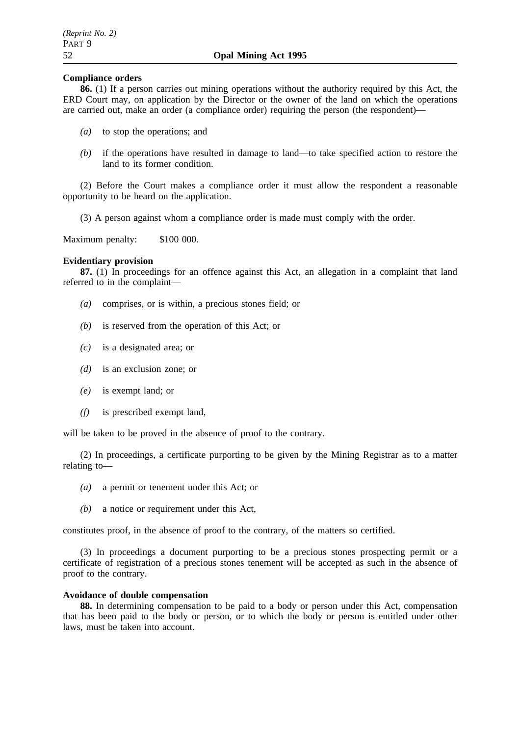# **Compliance orders**

**86.** (1) If a person carries out mining operations without the authority required by this Act, the ERD Court may, on application by the Director or the owner of the land on which the operations are carried out, make an order (a compliance order) requiring the person (the respondent)—

- *(a)* to stop the operations; and
- *(b)* if the operations have resulted in damage to land—to take specified action to restore the land to its former condition.

(2) Before the Court makes a compliance order it must allow the respondent a reasonable opportunity to be heard on the application.

(3) A person against whom a compliance order is made must comply with the order.

Maximum penalty: \$100 000.

# **Evidentiary provision**

**87.** (1) In proceedings for an offence against this Act, an allegation in a complaint that land referred to in the complaint—

- *(a)* comprises, or is within, a precious stones field; or
- *(b)* is reserved from the operation of this Act; or
- *(c)* is a designated area; or
- *(d)* is an exclusion zone; or
- *(e)* is exempt land; or
- *(f)* is prescribed exempt land,

will be taken to be proved in the absence of proof to the contrary.

(2) In proceedings, a certificate purporting to be given by the Mining Registrar as to a matter relating to—

- *(a)* a permit or tenement under this Act; or
- *(b)* a notice or requirement under this Act,

constitutes proof, in the absence of proof to the contrary, of the matters so certified.

(3) In proceedings a document purporting to be a precious stones prospecting permit or a certificate of registration of a precious stones tenement will be accepted as such in the absence of proof to the contrary.

# **Avoidance of double compensation**

**88.** In determining compensation to be paid to a body or person under this Act, compensation that has been paid to the body or person, or to which the body or person is entitled under other laws, must be taken into account.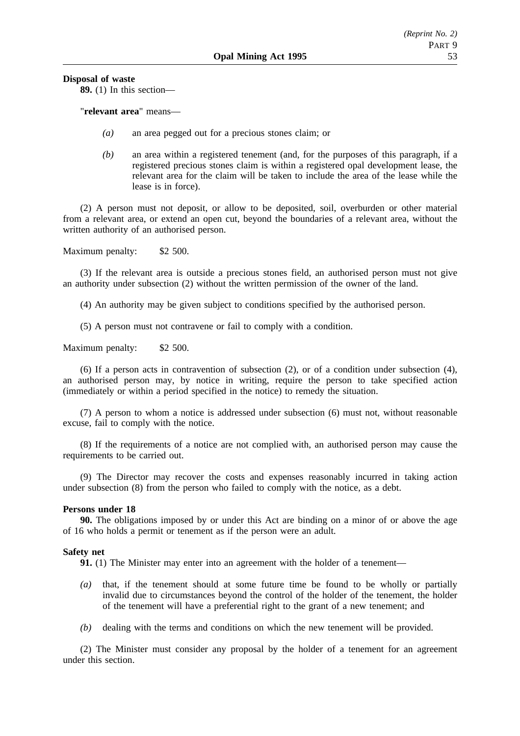**Disposal of waste**

**89.** (1) In this section—

"**relevant area**" means—

- *(a)* an area pegged out for a precious stones claim; or
- *(b)* an area within a registered tenement (and, for the purposes of this paragraph, if a registered precious stones claim is within a registered opal development lease, the relevant area for the claim will be taken to include the area of the lease while the lease is in force).

(2) A person must not deposit, or allow to be deposited, soil, overburden or other material from a relevant area, or extend an open cut, beyond the boundaries of a relevant area, without the written authority of an authorised person.

Maximum penalty: \$2 500.

(3) If the relevant area is outside a precious stones field, an authorised person must not give an authority under subsection (2) without the written permission of the owner of the land.

(4) An authority may be given subject to conditions specified by the authorised person.

(5) A person must not contravene or fail to comply with a condition.

Maximum penalty: \$2 500.

(6) If a person acts in contravention of subsection (2), or of a condition under subsection (4), an authorised person may, by notice in writing, require the person to take specified action (immediately or within a period specified in the notice) to remedy the situation.

(7) A person to whom a notice is addressed under subsection (6) must not, without reasonable excuse, fail to comply with the notice.

(8) If the requirements of a notice are not complied with, an authorised person may cause the requirements to be carried out.

(9) The Director may recover the costs and expenses reasonably incurred in taking action under subsection (8) from the person who failed to comply with the notice, as a debt.

#### **Persons under 18**

**90.** The obligations imposed by or under this Act are binding on a minor of or above the age of 16 who holds a permit or tenement as if the person were an adult.

# **Safety net**

**91.** (1) The Minister may enter into an agreement with the holder of a tenement—

- *(a)* that, if the tenement should at some future time be found to be wholly or partially invalid due to circumstances beyond the control of the holder of the tenement, the holder of the tenement will have a preferential right to the grant of a new tenement; and
- *(b)* dealing with the terms and conditions on which the new tenement will be provided.

(2) The Minister must consider any proposal by the holder of a tenement for an agreement under this section.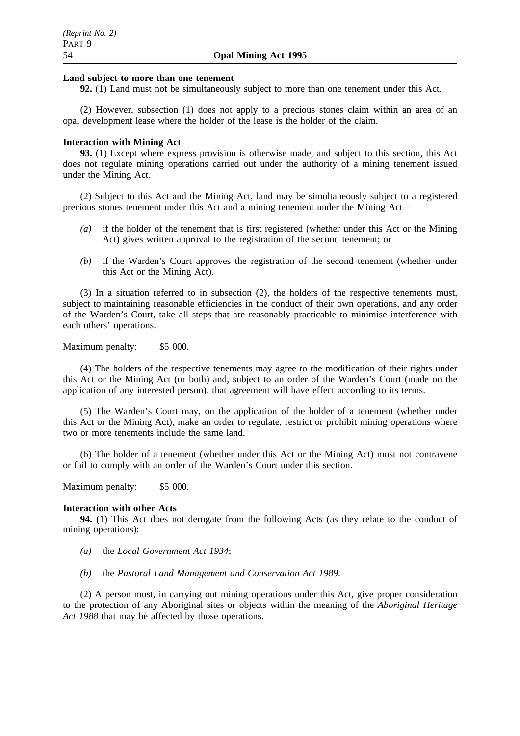### **Land subject to more than one tenement**

**92.** (1) Land must not be simultaneously subject to more than one tenement under this Act.

(2) However, subsection (1) does not apply to a precious stones claim within an area of an opal development lease where the holder of the lease is the holder of the claim.

#### **Interaction with Mining Act**

**93.** (1) Except where express provision is otherwise made, and subject to this section, this Act does not regulate mining operations carried out under the authority of a mining tenement issued under the Mining Act.

(2) Subject to this Act and the Mining Act, land may be simultaneously subject to a registered precious stones tenement under this Act and a mining tenement under the Mining Act—

- *(a)* if the holder of the tenement that is first registered (whether under this Act or the Mining Act) gives written approval to the registration of the second tenement; or
- *(b)* if the Warden's Court approves the registration of the second tenement (whether under this Act or the Mining Act).

(3) In a situation referred to in subsection (2), the holders of the respective tenements must, subject to maintaining reasonable efficiencies in the conduct of their own operations, and any order of the Warden's Court, take all steps that are reasonably practicable to minimise interference with each others' operations.

Maximum penalty: \$5 000.

(4) The holders of the respective tenements may agree to the modification of their rights under this Act or the Mining Act (or both) and, subject to an order of the Warden's Court (made on the application of any interested person), that agreement will have effect according to its terms.

(5) The Warden's Court may, on the application of the holder of a tenement (whether under this Act or the Mining Act), make an order to regulate, restrict or prohibit mining operations where two or more tenements include the same land.

(6) The holder of a tenement (whether under this Act or the Mining Act) must not contravene or fail to comply with an order of the Warden's Court under this section.

Maximum penalty: \$5 000.

#### **Interaction with other Acts**

**94.** (1) This Act does not derogate from the following Acts (as they relate to the conduct of mining operations):

- *(a)* the *Local Government Act 1934*;
- *(b)* the *Pastoral Land Management and Conservation Act 1989*.

(2) A person must, in carrying out mining operations under this Act, give proper consideration to the protection of any Aboriginal sites or objects within the meaning of the *Aboriginal Heritage Act 1988* that may be affected by those operations.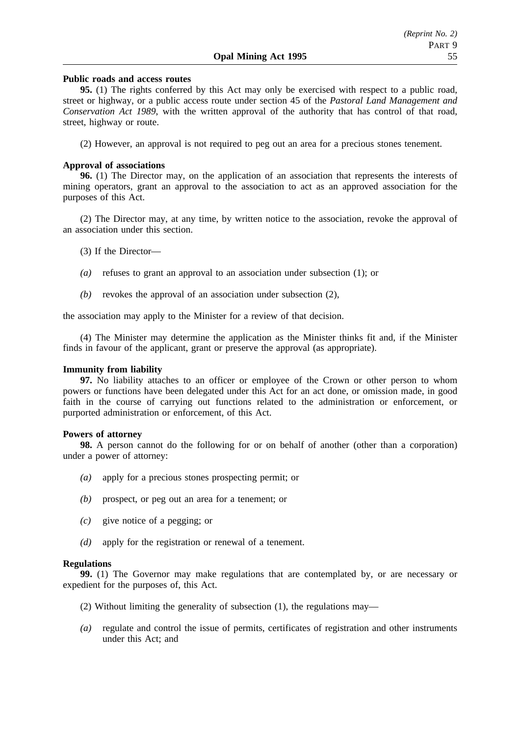# **Public roads and access routes**

**95.** (1) The rights conferred by this Act may only be exercised with respect to a public road, street or highway, or a public access route under section 45 of the *Pastoral Land Management and Conservation Act 1989*, with the written approval of the authority that has control of that road, street, highway or route.

(2) However, an approval is not required to peg out an area for a precious stones tenement.

### **Approval of associations**

**96.** (1) The Director may, on the application of an association that represents the interests of mining operators, grant an approval to the association to act as an approved association for the purposes of this Act.

(2) The Director may, at any time, by written notice to the association, revoke the approval of an association under this section.

- (3) If the Director—
- *(a)* refuses to grant an approval to an association under subsection (1); or
- *(b)* revokes the approval of an association under subsection (2),

the association may apply to the Minister for a review of that decision.

(4) The Minister may determine the application as the Minister thinks fit and, if the Minister finds in favour of the applicant, grant or preserve the approval (as appropriate).

#### **Immunity from liability**

**97.** No liability attaches to an officer or employee of the Crown or other person to whom powers or functions have been delegated under this Act for an act done, or omission made, in good faith in the course of carrying out functions related to the administration or enforcement, or purported administration or enforcement, of this Act.

#### **Powers of attorney**

**98.** A person cannot do the following for or on behalf of another (other than a corporation) under a power of attorney:

- *(a)* apply for a precious stones prospecting permit; or
- *(b)* prospect, or peg out an area for a tenement; or
- *(c)* give notice of a pegging; or
- *(d)* apply for the registration or renewal of a tenement.

#### **Regulations**

**99.** (1) The Governor may make regulations that are contemplated by, or are necessary or expedient for the purposes of, this Act.

- (2) Without limiting the generality of subsection (1), the regulations may—
- *(a)* regulate and control the issue of permits, certificates of registration and other instruments under this Act; and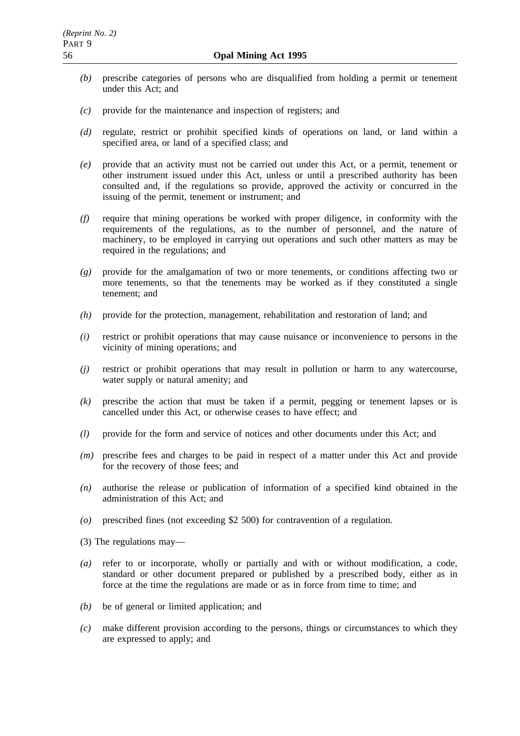- *(b)* prescribe categories of persons who are disqualified from holding a permit or tenement under this Act; and
- *(c)* provide for the maintenance and inspection of registers; and
- *(d)* regulate, restrict or prohibit specified kinds of operations on land, or land within a specified area, or land of a specified class; and
- *(e)* provide that an activity must not be carried out under this Act, or a permit, tenement or other instrument issued under this Act, unless or until a prescribed authority has been consulted and, if the regulations so provide, approved the activity or concurred in the issuing of the permit, tenement or instrument; and
- *(f)* require that mining operations be worked with proper diligence, in conformity with the requirements of the regulations, as to the number of personnel, and the nature of machinery, to be employed in carrying out operations and such other matters as may be required in the regulations; and
- *(g)* provide for the amalgamation of two or more tenements, or conditions affecting two or more tenements, so that the tenements may be worked as if they constituted a single tenement; and
- *(h)* provide for the protection, management, rehabilitation and restoration of land; and
- *(i)* restrict or prohibit operations that may cause nuisance or inconvenience to persons in the vicinity of mining operations; and
- *(j)* restrict or prohibit operations that may result in pollution or harm to any watercourse, water supply or natural amenity; and
- *(k)* prescribe the action that must be taken if a permit, pegging or tenement lapses or is cancelled under this Act, or otherwise ceases to have effect; and
- *(l)* provide for the form and service of notices and other documents under this Act; and
- *(m)* prescribe fees and charges to be paid in respect of a matter under this Act and provide for the recovery of those fees; and
- *(n)* authorise the release or publication of information of a specified kind obtained in the administration of this Act; and
- *(o)* prescribed fines (not exceeding \$2 500) for contravention of a regulation.
- (3) The regulations may—
- *(a)* refer to or incorporate, wholly or partially and with or without modification, a code, standard or other document prepared or published by a prescribed body, either as in force at the time the regulations are made or as in force from time to time; and
- *(b)* be of general or limited application; and
- *(c)* make different provision according to the persons, things or circumstances to which they are expressed to apply; and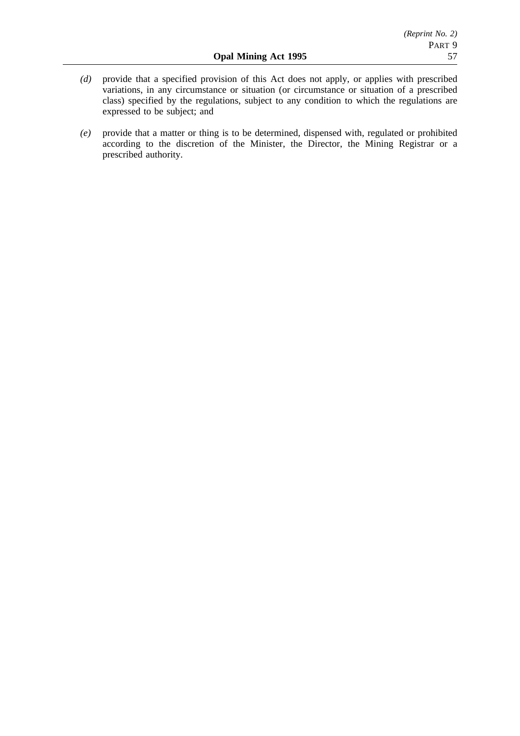- *(d)* provide that a specified provision of this Act does not apply, or applies with prescribed variations, in any circumstance or situation (or circumstance or situation of a prescribed class) specified by the regulations, subject to any condition to which the regulations are expressed to be subject; and
- *(e)* provide that a matter or thing is to be determined, dispensed with, regulated or prohibited according to the discretion of the Minister, the Director, the Mining Registrar or a prescribed authority.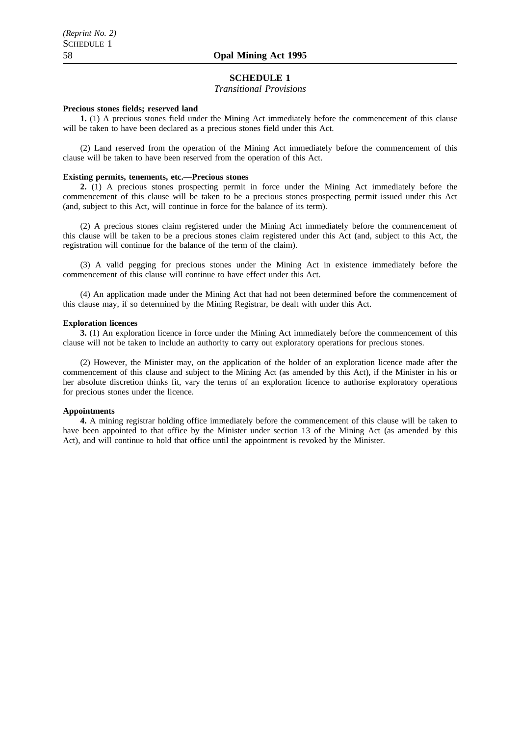# **SCHEDULE 1**

#### *Transitional Provisions*

#### **Precious stones fields; reserved land**

**1.** (1) A precious stones field under the Mining Act immediately before the commencement of this clause will be taken to have been declared as a precious stones field under this Act.

(2) Land reserved from the operation of the Mining Act immediately before the commencement of this clause will be taken to have been reserved from the operation of this Act.

#### **Existing permits, tenements, etc.—Precious stones**

**2.** (1) A precious stones prospecting permit in force under the Mining Act immediately before the commencement of this clause will be taken to be a precious stones prospecting permit issued under this Act (and, subject to this Act, will continue in force for the balance of its term).

(2) A precious stones claim registered under the Mining Act immediately before the commencement of this clause will be taken to be a precious stones claim registered under this Act (and, subject to this Act, the registration will continue for the balance of the term of the claim).

(3) A valid pegging for precious stones under the Mining Act in existence immediately before the commencement of this clause will continue to have effect under this Act.

(4) An application made under the Mining Act that had not been determined before the commencement of this clause may, if so determined by the Mining Registrar, be dealt with under this Act.

#### **Exploration licences**

**3.** (1) An exploration licence in force under the Mining Act immediately before the commencement of this clause will not be taken to include an authority to carry out exploratory operations for precious stones.

(2) However, the Minister may, on the application of the holder of an exploration licence made after the commencement of this clause and subject to the Mining Act (as amended by this Act), if the Minister in his or her absolute discretion thinks fit, vary the terms of an exploration licence to authorise exploratory operations for precious stones under the licence.

#### **Appointments**

**4.** A mining registrar holding office immediately before the commencement of this clause will be taken to have been appointed to that office by the Minister under section 13 of the Mining Act (as amended by this Act), and will continue to hold that office until the appointment is revoked by the Minister.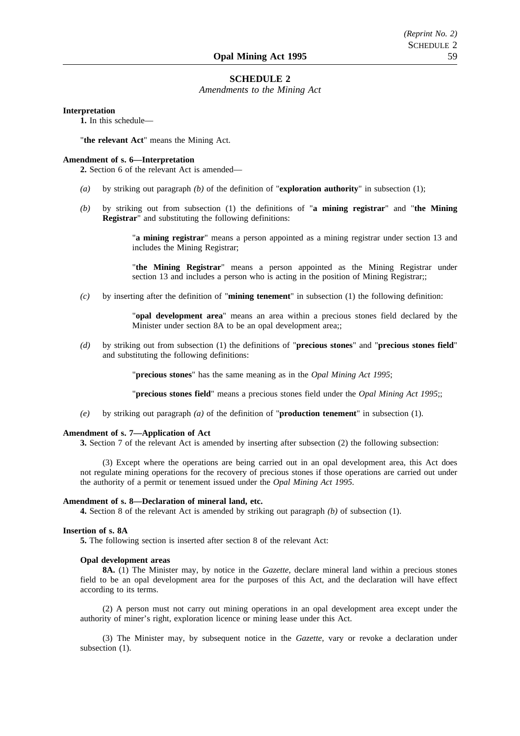#### **SCHEDULE 2**

*Amendments to the Mining Act*

#### **Interpretation**

**1.** In this schedule—

"**the relevant Act**" means the Mining Act.

#### **Amendment of s. 6—Interpretation**

**2.** Section 6 of the relevant Act is amended—

- *(a)* by striking out paragraph *(b)* of the definition of "**exploration authority**" in subsection (1);
- *(b)* by striking out from subsection (1) the definitions of "**a mining registrar**" and "**the Mining Registrar**" and substituting the following definitions:

"**a mining registrar**" means a person appointed as a mining registrar under section 13 and includes the Mining Registrar;

"**the Mining Registrar**" means a person appointed as the Mining Registrar under section 13 and includes a person who is acting in the position of Mining Registrar;;

*(c)* by inserting after the definition of "**mining tenement**" in subsection (1) the following definition:

"**opal development area**" means an area within a precious stones field declared by the Minister under section 8A to be an opal development area;;

*(d)* by striking out from subsection (1) the definitions of "**precious stones**" and "**precious stones field**" and substituting the following definitions:

"**precious stones**" has the same meaning as in the *Opal Mining Act 1995*;

"**precious stones field**" means a precious stones field under the *Opal Mining Act 1995*;;

*(e)* by striking out paragraph *(a)* of the definition of "**production tenement**" in subsection (1).

#### **Amendment of s. 7—Application of Act**

**3.** Section 7 of the relevant Act is amended by inserting after subsection (2) the following subsection:

(3) Except where the operations are being carried out in an opal development area, this Act does not regulate mining operations for the recovery of precious stones if those operations are carried out under the authority of a permit or tenement issued under the *Opal Mining Act 1995*.

#### **Amendment of s. 8—Declaration of mineral land, etc.**

**4.** Section 8 of the relevant Act is amended by striking out paragraph *(b)* of subsection (1).

## **Insertion of s. 8A**

**5.** The following section is inserted after section 8 of the relevant Act:

#### **Opal development areas**

**8A.** (1) The Minister may, by notice in the *Gazette*, declare mineral land within a precious stones field to be an opal development area for the purposes of this Act, and the declaration will have effect according to its terms.

(2) A person must not carry out mining operations in an opal development area except under the authority of miner's right, exploration licence or mining lease under this Act.

(3) The Minister may, by subsequent notice in the *Gazette*, vary or revoke a declaration under subsection  $(1)$ .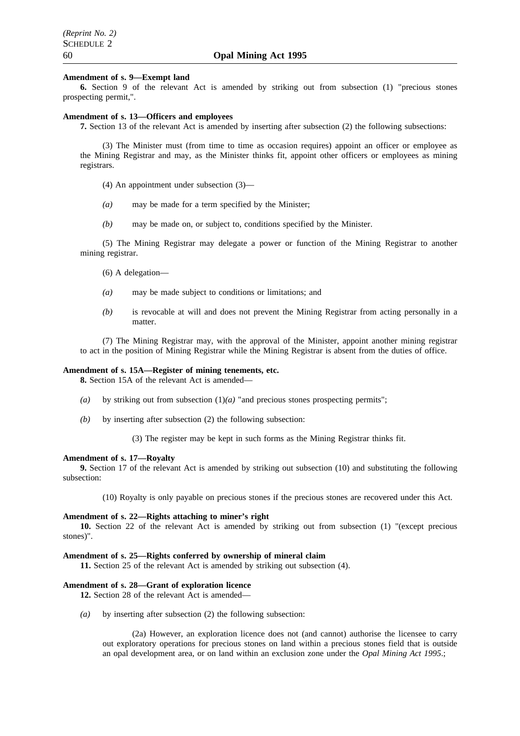## **Amendment of s. 9—Exempt land**

**6.** Section 9 of the relevant Act is amended by striking out from subsection (1) "precious stones prospecting permit,".

#### **Amendment of s. 13—Officers and employees**

**7.** Section 13 of the relevant Act is amended by inserting after subsection (2) the following subsections:

(3) The Minister must (from time to time as occasion requires) appoint an officer or employee as the Mining Registrar and may, as the Minister thinks fit, appoint other officers or employees as mining registrars.

- (4) An appointment under subsection (3)—
- *(a)* may be made for a term specified by the Minister;
- *(b)* may be made on, or subject to, conditions specified by the Minister.

(5) The Mining Registrar may delegate a power or function of the Mining Registrar to another mining registrar.

- (6) A delegation—
- *(a)* may be made subject to conditions or limitations; and
- *(b)* is revocable at will and does not prevent the Mining Registrar from acting personally in a matter.

(7) The Mining Registrar may, with the approval of the Minister, appoint another mining registrar to act in the position of Mining Registrar while the Mining Registrar is absent from the duties of office.

#### **Amendment of s. 15A—Register of mining tenements, etc.**

**8.** Section 15A of the relevant Act is amended—

- *(a)* by striking out from subsection (1)*(a)* "and precious stones prospecting permits";
- *(b)* by inserting after subsection (2) the following subsection:

(3) The register may be kept in such forms as the Mining Registrar thinks fit.

#### **Amendment of s. 17—Royalty**

**9.** Section 17 of the relevant Act is amended by striking out subsection (10) and substituting the following subsection:

(10) Royalty is only payable on precious stones if the precious stones are recovered under this Act.

#### **Amendment of s. 22—Rights attaching to miner's right**

**10.** Section 22 of the relevant Act is amended by striking out from subsection (1) "(except precious stones)".

### **Amendment of s. 25—Rights conferred by ownership of mineral claim**

**11.** Section 25 of the relevant Act is amended by striking out subsection (4).

#### **Amendment of s. 28—Grant of exploration licence**

**12.** Section 28 of the relevant Act is amended—

*(a)* by inserting after subsection (2) the following subsection:

(2a) However, an exploration licence does not (and cannot) authorise the licensee to carry out exploratory operations for precious stones on land within a precious stones field that is outside an opal development area, or on land within an exclusion zone under the *Opal Mining Act 1995*.;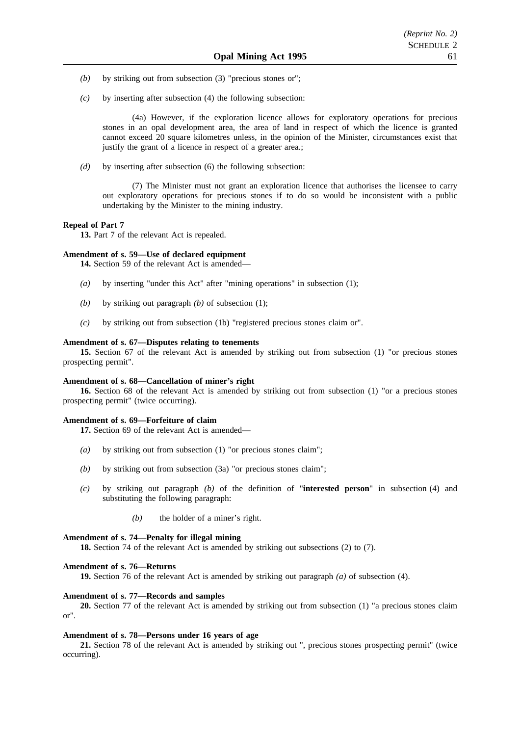- *(b)* by striking out from subsection (3) "precious stones or";
- *(c)* by inserting after subsection (4) the following subsection:

(4a) However, if the exploration licence allows for exploratory operations for precious stones in an opal development area, the area of land in respect of which the licence is granted cannot exceed 20 square kilometres unless, in the opinion of the Minister, circumstances exist that justify the grant of a licence in respect of a greater area.;

*(d)* by inserting after subsection (6) the following subsection:

(7) The Minister must not grant an exploration licence that authorises the licensee to carry out exploratory operations for precious stones if to do so would be inconsistent with a public undertaking by the Minister to the mining industry.

#### **Repeal of Part 7**

**13.** Part 7 of the relevant Act is repealed.

#### **Amendment of s. 59—Use of declared equipment**

**14.** Section 59 of the relevant Act is amended—

- *(a)* by inserting "under this Act" after "mining operations" in subsection (1);
- *(b)* by striking out paragraph *(b)* of subsection (1);
- *(c)* by striking out from subsection (1b) "registered precious stones claim or".

#### **Amendment of s. 67—Disputes relating to tenements**

**15.** Section 67 of the relevant Act is amended by striking out from subsection (1) "or precious stones prospecting permit".

#### **Amendment of s. 68—Cancellation of miner's right**

**16.** Section 68 of the relevant Act is amended by striking out from subsection (1) "or a precious stones prospecting permit" (twice occurring).

#### **Amendment of s. 69—Forfeiture of claim**

**17.** Section 69 of the relevant Act is amended—

- *(a)* by striking out from subsection (1) "or precious stones claim";
- *(b)* by striking out from subsection (3a) "or precious stones claim";
- *(c)* by striking out paragraph *(b)* of the definition of "**interested person**" in subsection (4) and substituting the following paragraph:
	- *(b)* the holder of a miner's right.

#### **Amendment of s. 74—Penalty for illegal mining**

**18.** Section 74 of the relevant Act is amended by striking out subsections (2) to (7).

#### **Amendment of s. 76—Returns**

**19.** Section 76 of the relevant Act is amended by striking out paragraph *(a)* of subsection (4).

#### **Amendment of s. 77—Records and samples**

**20.** Section 77 of the relevant Act is amended by striking out from subsection (1) "a precious stones claim or".

#### **Amendment of s. 78—Persons under 16 years of age**

**21.** Section 78 of the relevant Act is amended by striking out ", precious stones prospecting permit" (twice occurring).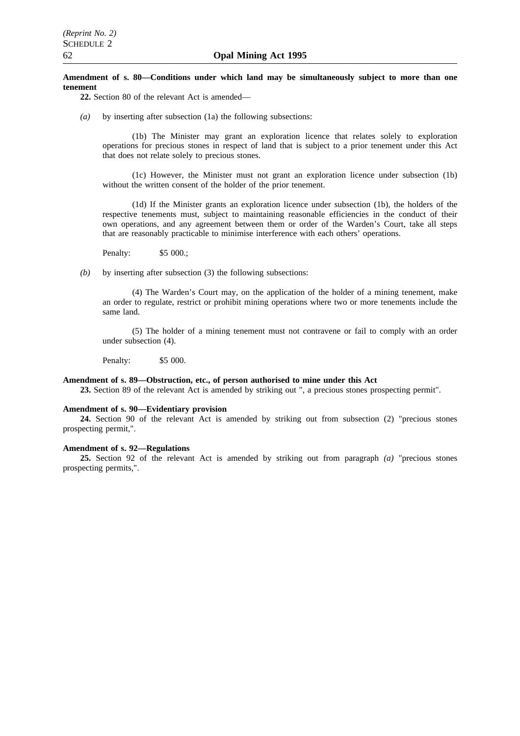#### **Amendment of s. 80—Conditions under which land may be simultaneously subject to more than one tenement**

**22.** Section 80 of the relevant Act is amended—

*(a)* by inserting after subsection (1a) the following subsections:

(1b) The Minister may grant an exploration licence that relates solely to exploration operations for precious stones in respect of land that is subject to a prior tenement under this Act that does not relate solely to precious stones.

(1c) However, the Minister must not grant an exploration licence under subsection (1b) without the written consent of the holder of the prior tenement.

(1d) If the Minister grants an exploration licence under subsection (1b), the holders of the respective tenements must, subject to maintaining reasonable efficiencies in the conduct of their own operations, and any agreement between them or order of the Warden's Court, take all steps that are reasonably practicable to minimise interference with each others' operations.

Penalty: \$5 000.;

*(b)* by inserting after subsection (3) the following subsections:

(4) The Warden's Court may, on the application of the holder of a mining tenement, make an order to regulate, restrict or prohibit mining operations where two or more tenements include the same land.

(5) The holder of a mining tenement must not contravene or fail to comply with an order under subsection (4).

Penalty: \$5 000.

#### **Amendment of s. 89—Obstruction, etc., of person authorised to mine under this Act**

**23.** Section 89 of the relevant Act is amended by striking out ", a precious stones prospecting permit".

#### **Amendment of s. 90—Evidentiary provision**

**24.** Section 90 of the relevant Act is amended by striking out from subsection (2) "precious stones prospecting permit,".

#### **Amendment of s. 92—Regulations**

**25.** Section 92 of the relevant Act is amended by striking out from paragraph *(a)* "precious stones prospecting permits,".